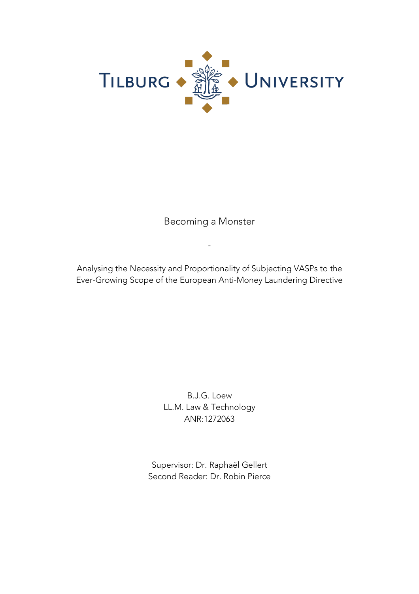

Becoming a Monster

-

Analysing the Necessity and Proportionality of Subjecting VASPs to the Ever-Growing Scope of the European Anti-Money Laundering Directive

> B.J.G. Loew LL.M. Law & Technology ANR:1272063

Supervisor: Dr. Raphaël Gellert Second Reader: Dr. Robin Pierce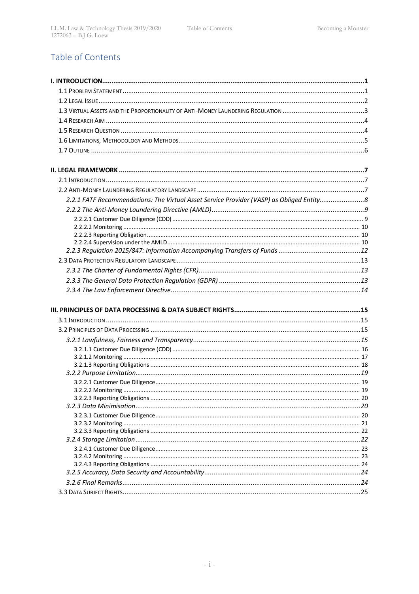## Table of Contents

| 2.2.1 FATF Recommendations: The Virtual Asset Service Provider (VASP) as Obliged Entity |  |
|-----------------------------------------------------------------------------------------|--|
|                                                                                         |  |
|                                                                                         |  |
|                                                                                         |  |
|                                                                                         |  |
|                                                                                         |  |
|                                                                                         |  |
|                                                                                         |  |
|                                                                                         |  |
|                                                                                         |  |
|                                                                                         |  |
|                                                                                         |  |
|                                                                                         |  |
|                                                                                         |  |
|                                                                                         |  |
|                                                                                         |  |
|                                                                                         |  |
|                                                                                         |  |
|                                                                                         |  |
|                                                                                         |  |
|                                                                                         |  |
|                                                                                         |  |
|                                                                                         |  |
|                                                                                         |  |
|                                                                                         |  |
|                                                                                         |  |
|                                                                                         |  |
|                                                                                         |  |
|                                                                                         |  |
|                                                                                         |  |
|                                                                                         |  |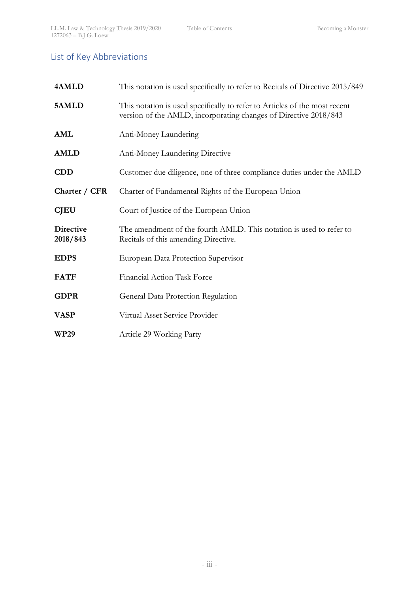# List of Key Abbreviations

| 4AMLD                        | This notation is used specifically to refer to Recitals of Directive 2015/849                                                                  |
|------------------------------|------------------------------------------------------------------------------------------------------------------------------------------------|
| 5AMLD                        | This notation is used specifically to refer to Articles of the most recent<br>version of the AMLD, incorporating changes of Directive 2018/843 |
| AML                          | Anti-Money Laundering                                                                                                                          |
| <b>AMLD</b>                  | Anti-Money Laundering Directive                                                                                                                |
| <b>CDD</b>                   | Customer due diligence, one of three compliance duties under the AMLD                                                                          |
| Charter / CFR                | Charter of Fundamental Rights of the European Union                                                                                            |
| <b>CJEU</b>                  | Court of Justice of the European Union                                                                                                         |
| <b>Directive</b><br>2018/843 | The amendment of the fourth AMLD. This notation is used to refer to<br>Recitals of this amending Directive.                                    |
| <b>EDPS</b>                  | European Data Protection Supervisor                                                                                                            |
| <b>FATF</b>                  | Financial Action Task Force                                                                                                                    |
| <b>GDPR</b>                  | General Data Protection Regulation                                                                                                             |
| <b>VASP</b>                  | Virtual Asset Service Provider                                                                                                                 |
| <b>WP29</b>                  | Article 29 Working Party                                                                                                                       |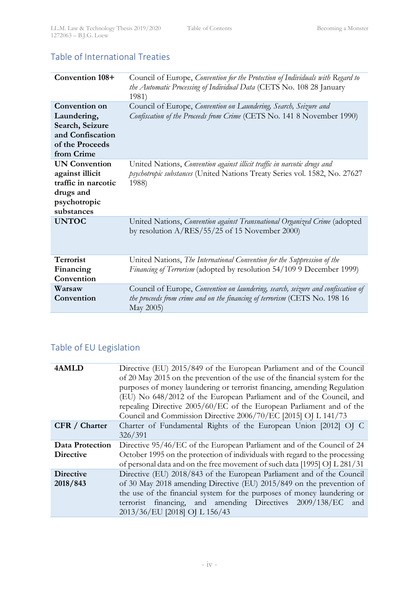## Table of International Treaties

| Convention 108+                                                                                           | Council of Europe, Convention for the Protection of Individuals with Regard to<br>the Automatic Processing of Individual Data (CETS No. 108 28 January<br>1981)             |
|-----------------------------------------------------------------------------------------------------------|-----------------------------------------------------------------------------------------------------------------------------------------------------------------------------|
| Convention on<br>Laundering,<br>Search, Seizure<br>and Confiscation<br>of the Proceeds<br>from Crime      | Council of Europe, Convention on Laundering, Search, Seizure and<br>Confiscation of the Proceeds from Crime (CETS No. 141 8 November 1990)                                  |
| <b>UN Convention</b><br>against illicit<br>traffic in narcotic<br>drugs and<br>psychotropic<br>substances | United Nations, Convention against illicit traffic in narcotic drugs and<br>psychotropic substances (United Nations Treaty Series vol. 1582, No. 27627<br>1988)             |
| <b>UNTOC</b>                                                                                              | United Nations, Convention against Transnational Organized Crime (adopted<br>by resolution $A/RES/55/25$ of 15 November 2000)                                               |
| Terrorist<br>Financing<br>Convention                                                                      | United Nations, The International Convention for the Suppression of the<br>Financing of Terrorism (adopted by resolution 54/109 9 December 1999)                            |
| Warsaw<br>Convention                                                                                      | Council of Europe, Convention on laundering, search, seizure and confiscation of<br>the proceeds from crime and on the financing of terrorism (CETS No. 198 16<br>May 2005) |

# Table of EU Legislation

| 4AMLD                  | Directive (EU) 2015/849 of the European Parliament and of the Council<br>of 20 May 2015 on the prevention of the use of the financial system for the<br>purposes of money laundering or terrorist financing, amending Regulation<br>(EU) No 648/2012 of the European Parliament and of the Council, and<br>repealing Directive 2005/60/EC of the European Parliament and of the<br>Council and Commission Directive 2006/70/EC [2015] OJ L 141/73 |
|------------------------|---------------------------------------------------------------------------------------------------------------------------------------------------------------------------------------------------------------------------------------------------------------------------------------------------------------------------------------------------------------------------------------------------------------------------------------------------|
| CFR / Charter          | Charter of Fundamental Rights of the European Union [2012] OJ C<br>326/391                                                                                                                                                                                                                                                                                                                                                                        |
| <b>Data Protection</b> | Directive 95/46/EC of the European Parliament and of the Council of 24                                                                                                                                                                                                                                                                                                                                                                            |
| <b>Directive</b>       | October 1995 on the protection of individuals with regard to the processing<br>of personal data and on the free movement of such data [1995] OJ L 281/31                                                                                                                                                                                                                                                                                          |
| <b>Directive</b>       | Directive (EU) 2018/843 of the European Parliament and of the Council                                                                                                                                                                                                                                                                                                                                                                             |
| 2018/843               | of 30 May 2018 amending Directive (EU) 2015/849 on the prevention of                                                                                                                                                                                                                                                                                                                                                                              |
|                        | the use of the financial system for the purposes of money laundering or                                                                                                                                                                                                                                                                                                                                                                           |
|                        | terrorist financing, and amending Directives 2009/138/EC and<br>2013/36/EU [2018] OJ L 156/43                                                                                                                                                                                                                                                                                                                                                     |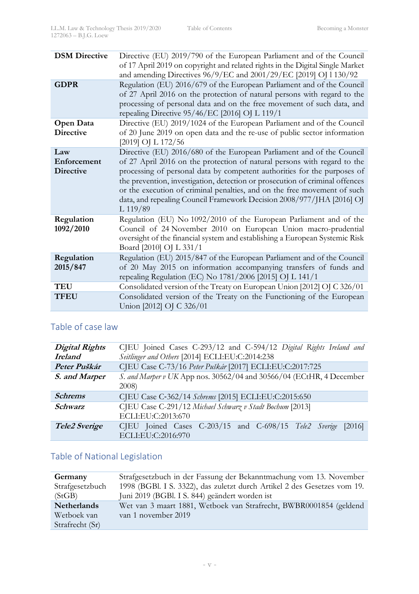| <b>DSM Directive</b>                   | Directive (EU) 2019/790 of the European Parliament and of the Council<br>of 17 April 2019 on copyright and related rights in the Digital Single Market<br>and amending Directives 96/9/EC and 2001/29/EC [2019] OJ 1 130/92                                                                                                                                                                                                                                                      |
|----------------------------------------|----------------------------------------------------------------------------------------------------------------------------------------------------------------------------------------------------------------------------------------------------------------------------------------------------------------------------------------------------------------------------------------------------------------------------------------------------------------------------------|
| <b>GDPR</b>                            | Regulation (EU) 2016/679 of the European Parliament and of the Council<br>of 27 April 2016 on the protection of natural persons with regard to the<br>processing of personal data and on the free movement of such data, and<br>repealing Directive 95/46/EC [2016] OJ L 119/1                                                                                                                                                                                                   |
| Open Data<br><b>Directive</b>          | Directive (EU) 2019/1024 of the European Parliament and of the Council<br>of 20 June 2019 on open data and the re-use of public sector information<br>[2019] OJ L 172/56                                                                                                                                                                                                                                                                                                         |
| Law<br>Enforcement<br><b>Directive</b> | Directive (EU) 2016/680 of the European Parliament and of the Council<br>of 27 April 2016 on the protection of natural persons with regard to the<br>processing of personal data by competent authorities for the purposes of<br>the prevention, investigation, detection or prosecution of criminal offences<br>or the execution of criminal penalties, and on the free movement of such<br>data, and repealing Council Framework Decision 2008/977/JHA [2016] OJ<br>$L$ 119/89 |
| Regulation<br>1092/2010                | Regulation (EU) No 1092/2010 of the European Parliament and of the<br>Council of 24 November 2010 on European Union macro-prudential<br>oversight of the financial system and establishing a European Systemic Risk<br>Board [2010] OJ L 331/1                                                                                                                                                                                                                                   |
| Regulation<br>2015/847                 | Regulation (EU) 2015/847 of the European Parliament and of the Council<br>of 20 May 2015 on information accompanying transfers of funds and<br>repealing Regulation (EC) No 1781/2006 [2015] OJ L 141/1                                                                                                                                                                                                                                                                          |
| <b>TEU</b>                             | Consolidated version of the Treaty on European Union [2012] OJ C 326/01                                                                                                                                                                                                                                                                                                                                                                                                          |
| <b>TFEU</b>                            | Consolidated version of the Treaty on the Functioning of the European<br>Union [2012] OJ C 326/01                                                                                                                                                                                                                                                                                                                                                                                |

## Table of case law

| <b>Digital Rights</b> | CJEU Joined Cases C-293/12 and C-594/12 Digital Rights Ireland and                 |
|-----------------------|------------------------------------------------------------------------------------|
| <b>Ireland</b>        | Seitlinger and Others [2014] ECLI:EU:C:2014:238                                    |
| Peter Puškár          | CJEU Case C-73/16 Peter Puškár [2017] ECLI:EU:C:2017:725                           |
| S. and Marper         | S. and Marper v UK App nos. 30562/04 and 30566/04 (ECtHR, 4 December<br>2008       |
| <b>Schrems</b>        | CJEU Case C-362/14 Schrems [2015] ECLI:EU:C:2015:650                               |
| Schwarz               | CJEU Case C-291/12 Michael Schwarz v Stadt Bochum [2013]<br>ECLI:EU:C:2013:670     |
| Tele2 Sverige         | CJEU Joined Cases C-203/15 and C-698/15 Tele2 Sverige [2016]<br>ECLI:EU:C:2016:970 |

# Table of National Legislation

| Germany         | Strafgesetzbuch in der Fassung der Bekanntmachung vom 13. November       |
|-----------------|--------------------------------------------------------------------------|
| Strafgesetzbuch | 1998 (BGBl. I S. 3322), das zuletzt durch Artikel 2 des Gesetzes vom 19. |
| (StGB)          | Juni 2019 (BGBl. I S. 844) geändert worden ist                           |
| Netherlands     | Wet van 3 maart 1881, Wetboek van Strafrecht, BWBR0001854 (geldend       |
| Wetboek van     | van 1 november 2019                                                      |
| Strafrecht (Sr) |                                                                          |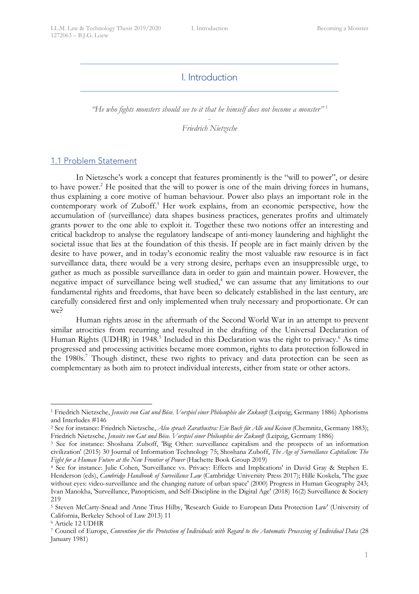## I. Introduction

*"He who fights monsters should see to it that he himself does not become a monster"* <sup>1</sup>

- *Friedrich Nietzsche*

## 1.1 Problem Statement

In Nietzsche's work a concept that features prominently is the "will to power", or desire to have power. <sup>2</sup> He posited that the will to power is one of the main driving forces in humans, thus explaining a core motive of human behaviour. Power also plays an important role in the contemporary work of Zuboff. <sup>3</sup> Her work explains, from an economic perspective, how the accumulation of (surveillance) data shapes business practices, generates profits and ultimately grants power to the one able to exploit it. Together these two notions offer an interesting and critical backdrop to analyse the regulatory landscape of anti-money laundering and highlight the societal issue that lies at the foundation of this thesis. If people are in fact mainly driven by the desire to have power, and in today's economic reality the most valuable raw resource is in fact surveillance data, there would be a very strong desire, perhaps even an insuppressible urge, to gather as much as possible surveillance data in order to gain and maintain power. However, the negative impact of surveillance being well studied,<sup>4</sup> we can assume that any limitations to our fundamental rights and freedoms, that have been so delicately established in the last century, are carefully considered first and only implemented when truly necessary and proportionate. Or can we?

Human rights arose in the aftermath of the Second World War in an attempt to prevent similar atrocities from recurring and resulted in the drafting of the Universal Declaration of Human Rights (UDHR) in 1948.<sup>5</sup> Included in this Declaration was the right to privacy.<sup>6</sup> As time progressed and processing activities became more common, rights to data protection followed in the 1980s.<sup>7</sup> Though distinct, these two rights to privacy and data protection can be seen as complementary as both aim to protect individual interests, either from state or other actors.

 <sup>1</sup> Friedrich Nietzsche, *Jenseits von Gut und Böse. Vorspiel einer Philosophie der Zukunft* (Leipzig, Germany 1886) Aphorisms and Interludes #146

<sup>2</sup> See for instance: Friedrich Nietzsche, *Also sprach Zarathustra: Ein Buch für Alle und Keinen* (Chemnitz, Germany 1883); Friedrich Nietzsche, *Jenseits von Gut und Böse. Vorspiel einer Philosophie der Zukunft* (Leipzig, Germany 1886)

<sup>&</sup>lt;sup>3</sup> See for instance: Shoshana Zuboff, 'Big Other: surveillance capitalism and the prospects of an information civilization' (2015) 30 Journal of Information Technology 75; Shoshana Zuboff, *The Age of Surveillance Capitalism: The*  Fight for a Human Future at the New Frontier of Power (Hachette Book Group 2019)

<sup>4</sup> See for instance: Julie Cohen, 'Surveillance vs. Privacy: Effects and Implications' in David Gray & Stephen E. Henderson (eds), *Cambridge Handbook of Surveillance Law* (Cambridge University Press 2017); Hille Koskela, 'The gaze without eyes: video-surveillance and the changing nature of urban space' (2000) Progress in Human Geography 243; Ivan Manokha, 'Surveillance, Panopticism, and Self-Discipline in the Digital Age' (2018) 16(2) Surveillance & Society 219

<sup>5</sup> Steven McCarty-Snead and Anne Titus Hilby, 'Research Guide to European Data Protection Law' (University of California, Berkeley School of Law 2013) 11

<sup>6</sup> Article 12 UDHR

<sup>7</sup> Council of Europe, *Convention for the Protection of Individuals with Regard to the Automatic Processing of Individual Data* (28 January 1981)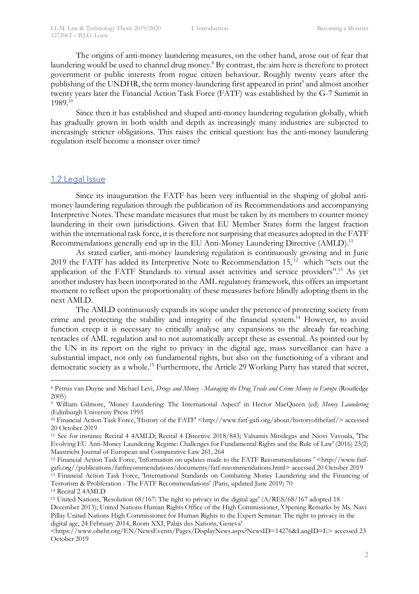The origins of anti-money laundering measures, on the other hand, arose out of fear that laundering would be used to channel drug money.<sup>8</sup> By contrast, the aim here is therefore to protect government or public interests from rogue citizen behaviour. Roughly twenty years after the publishing of the UNDHR, the term money-laundering first appeared in print<sup>9</sup> and almost another twenty years later the Financial Action Task Force (FATF) was established by the G-7 Summit in 1989. 10

Since then it has established and shaped anti-money laundering regulation globally, which has gradually grown in both width and depth as increasingly many industries are subjected to increasingly stricter obligations. This raises the critical question: has the anti-money laundering regulation itself become a monster over time?

### 1.2 Legal Issue

Since its inauguration the FATF has been very influential in the shaping of global antimoney laundering regulation through the publication of its Recommendations and accompanying Interpretive Notes. These mandate measures that must be taken by its members to counter money laundering in their own jurisdictions. Given that EU Member States form the largest fraction within the international task force, it is therefore not surprising that measures adopted in the FATF Recommendations generally end up in the EU Anti-Money Laundering Directive (AMLD).<sup>11</sup>

As stated earlier, anti-money laundering regulation is continuously growing and in June 2019 the FATF has added its Interpretive Note to Recommendation 15,<sup>12</sup> which "sets out the application of the FATF Standards to virtual asset activities and service providers".<sup>13</sup> As yet another industry has been incorporated in the AML regulatory framework, this offers an important moment to reflect upon the proportionality of these measures before blindly adopting them in the next AMLD.

The AMLD continuously expands its scope under the pretence of protecting society from crime and protecting the stability and integrity of the financial system.<sup>14</sup> However, to avoid function creep it is necessary to critically analyse any expansions to the already far-reaching tentacles of AML regulation and to not automatically accept these as essential. As pointed out by the UN in its report on the right to privacy in the digital age, mass surveillance can have a substantial impact, not only on fundamental rights, but also on the functioning of a vibrant and democratic society as a whole.<sup>15</sup> Furthermore, the Article 29 Working Party has stated that secret,

December 2013); United Nations Human Rights Office of the High Commissioner, 'Opening Remarks by Ms. Navi Pillay United Nations High Commissioner for Human Rights to the Expert Seminar: The right to privacy in the digital age, 24 February 2014, Room XXI, Palais des Nations, Geneva'

 <sup>8</sup> Petrus van Duyne and Michael Levi, *Drugs and Money - Managing the Drug Trade and Crime Money in Europe* (Routledge 2005)

<sup>9</sup> William Gilmore, 'Money Laundering: The International Aspect' in Hector MacQueen (ed) *Money Laundering* (Edinburgh University Press 1993

<sup>&</sup>lt;sup>10</sup> Financial Action Task Force, 'History of the FATF' <http://www.fatf-gafi.org/about/historyofthefatf/> accessed 20 October 2019

<sup>11</sup> See for instance Recital 4 4AMLD; Recital 4 Directive 2018/843; Valsamis Mitsilegas and Niovi Vavoula, 'The Evolving EU Anti-Money Laundering Regime: Challenges for Fundamental Rights and the Rule of Law' (2016) 23(2) Maastricht Journal of European and Comparative Law 261, 264

<sup>12</sup> Financial Action Task Force, 'Information on updates made to the FATF Recommendations ' <http://www.fatfgafi.org//publications/fatfrecommendations/documents/fatf-recommendations.html> accessed 20 October 2019

<sup>&</sup>lt;sup>13</sup> Financial Action Task Force, 'International Standards on Combating Money Laundering and the Financing of Terrorism & Proliferation - The FATF Recommendations' (Paris, updated June 2019) 70

<sup>14</sup> Recital 2 4AMLD

<sup>15</sup> United Nations, 'Resolution 68/167: The right to privacy in the digital age' (A/RES/68/167 adopted 18

<sup>&</sup>lt;https://www.ohchr.org/EN/NewsEvents/Pages/DisplayNews.aspx?NewsID=14276&LangID=E> accessed 23 October 2019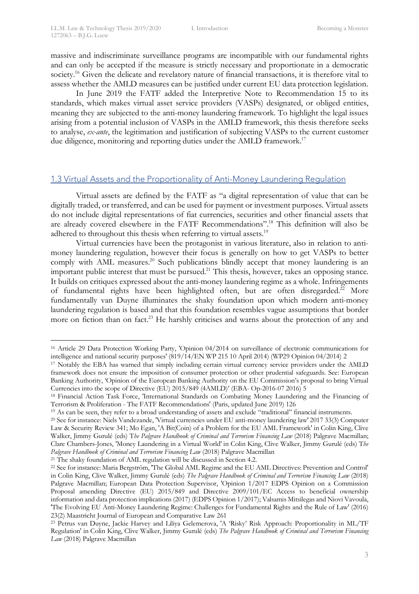massive and indiscriminate surveillance programs are incompatible with our fundamental rights and can only be accepted if the measure is strictly necessary and proportionate in a democratic society.<sup>16</sup> Given the delicate and revelatory nature of financial transactions, it is therefore vital to assess whether the AMLD measures can be justified under current EU data protection legislation.

In June 2019 the FATF added the Interpretive Note to Recommendation 15 to its standards, which makes virtual asset service providers (VASPs) designated, or obliged entities, meaning they are subjected to the anti-money laundering framework. To highlight the legal issues arising from a potential inclusion of VASPs in the AMLD framework, this thesis therefore seeks to analyse, *ex-ante*, the legitimation and justification of subjecting VASPs to the current customer due diligence, monitoring and reporting duties under the AMLD framework.<sup>17</sup>

## 1.3 Virtual Assets and the Proportionality of Anti-Money Laundering Regulation

Virtual assets are defined by the FATF as "a digital representation of value that can be digitally traded, or transferred, and can be used for payment or investment purposes. Virtual assets do not include digital representations of fiat currencies, securities and other financial assets that are already covered elsewhere in the FATF Recommendations".18 This definition will also be adhered to throughout this thesis when referring to virtual assets.<sup>19</sup>

Virtual currencies have been the protagonist in various literature, also in relation to antimoney laundering regulation, however their focus is generally on how to get VASPs to better comply with AML measures.<sup>20</sup> Such publications blindly accept that money laundering is an important public interest that must be pursued.<sup>21</sup> This thesis, however, takes an opposing stance. It builds on critiques expressed about the anti-money laundering regime as a whole. Infringements of fundamental rights have been highlighted often, but are often disregarded.<sup>22</sup> More fundamentally van Duyne illuminates the shaky foundation upon which modern anti-money laundering regulation is based and that this foundation resembles vague assumptions that border more on fiction than on fact.<sup>23</sup> He harshly criticises and warns about the protection of any and

<sup>21</sup> The shaky foundation of AML regulation will be discussed in Section 4.2.

 <sup>16</sup> Article 29 Data Protection Working Party, 'Opinion 04/2014 on surveillance of electronic communications for intelligence and national security purposes' (819/14/EN WP 215 10 April 2014) (WP29 Opinion 04/2014) 2

<sup>&</sup>lt;sup>17</sup> Notably the EBA has warned that simply including certain virtual currency service providers under the AMLD framework does not ensure the imposition of consumer protection or other prudential safeguards. See: European Banking Authority, 'Opinion of the European Banking Authority on the EU Commission's proposal to bring Virtual Currencies into the scope of Directive (EU) 2015/849 (4AMLD)' (EBA- Op-2016-07 2016) 5

<sup>18</sup> Financial Action Task Force, 'International Standards on Combating Money Laundering and the Financing of Terrorism & Proliferation - The FATF Recommendations' (Paris, updated June 2019) 126

<sup>19</sup> As can be seen, they refer to a broad understanding of assets and exclude "traditional" financial instruments.

<sup>20</sup> See for instance: Niels Vandezande, 'Virtual currencies under EU anti-money laundering law' 2017 33(3) Computer Law & Security Review 341; Mo Egan, 'A Bit(Coin) of a Problem for the EU AML Framework' in Colin King, Clive Walker, Jimmy Gurulé (eds) T*he Palgrave Handbook of Criminal and Terrorism Financing Law* (2018) Palgrave Macmillan; Clare Chambers-Jones, 'Money Laundering in a Virtual World' in Colin King, Clive Walker, Jimmy Gurulé (eds) T*he Palgrave Handbook of Criminal and Terrorism Financing Law* (2018) Palgrave Macmillan

<sup>22</sup> See for instance: Maria Bergström, 'The Global AML Regime and the EU AML Directives: Prevention and Control' in Colin King, Clive Walker, Jimmy Gurulé (eds) *The Palgrave Handbook of Criminal and Terrorism Financing Law* (2018) Palgrave Macmillan; European Data Protection Supervisor, 'Opinion 1/2017 EDPS Opinion on a Commission Proposal amending Directive (EU) 2015/849 and Directive 2009/101/EC Access to beneficial ownership information and data protection implications (2017) (EDPS Opinion 1/2017); Valsamis Mitsilegas and Niovi Vavoula, 'The Evolving EU Anti-Money Laundering Regime: Challenges for Fundamental Rights and the Rule of Law' (2016) 23(2) Maastricht Journal of European and Comparative Law 261

<sup>23</sup> Petrus van Duyne, Jackie Harvey and Liliya Gelemerova, 'A 'Risky' Risk Approach: Proportionality in ML/TF Regulation' in Colin King, Clive Walker, Jimmy Gurulé (eds) *The Palgrave Handbook of Criminal and Terrorism Financing Law* (2018) Palgrave Macmillan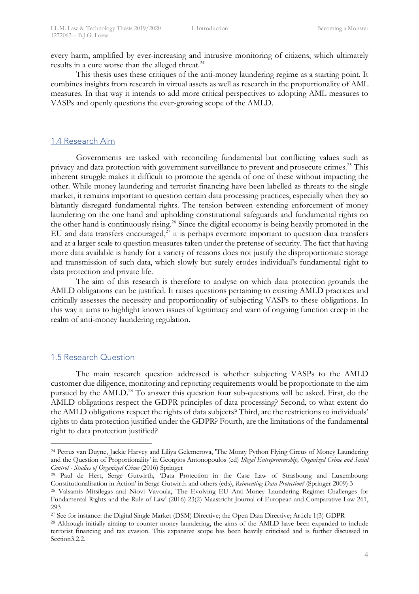every harm, amplified by ever-increasing and intrusive monitoring of citizens, which ultimately results in a cure worse than the alleged threat.<sup>24</sup>

This thesis uses these critiques of the anti-money laundering regime as a starting point. It combines insights from research in virtual assets as well as research in the proportionality of AML measures. In that way it intends to add more critical perspectives to adopting AML measures to VASPs and openly questions the ever-growing scope of the AMLD.

### 1.4 Research Aim

Governments are tasked with reconciling fundamental but conflicting values such as privacy and data protection with government surveillance to prevent and prosecute crimes.<sup>25</sup> This inherent struggle makes it difficult to promote the agenda of one of these without impacting the other. While money laundering and terrorist financing have been labelled as threats to the single market, it remains important to question certain data processing practices, especially when they so blatantly disregard fundamental rights. The tension between extending enforcement of money laundering on the one hand and upholding constitutional safeguards and fundamental rights on the other hand is continuously rising.<sup>26</sup> Since the digital economy is being heavily promoted in the EU and data transfers encouraged, $27$  it is perhaps evermore important to question data transfers and at a larger scale to question measures taken under the pretense of security. The fact that having more data available is handy for a variety of reasons does not justify the disproportionate storage and transmission of such data, which slowly but surely erodes individual's fundamental right to data protection and private life.

The aim of this research is therefore to analyse on which data protection grounds the AMLD obligations can be justified. It raises questions pertaining to existing AMLD practices and critically assesses the necessity and proportionality of subjecting VASPs to these obligations. In this way it aims to highlight known issues of legitimacy and warn of ongoing function creep in the realm of anti-money laundering regulation.

#### 1.5 Research Question

The main research question addressed is whether subjecting VASPs to the AMLD customer due diligence, monitoring and reporting requirements would be proportionate to the aim pursued by the AMLD.<sup>28</sup> To answer this question four sub-questions will be asked. First, do the AMLD obligations respect the GDPR principles of data processing? Second, to what extent do the AMLD obligations respect the rights of data subjects? Third, are the restrictions to individuals' rights to data protection justified under the GDPR? Fourth, are the limitations of the fundamental right to data protection justified?

 <sup>24</sup> Petrus van Duyne, Jackie Harvey and Liliya Gelemerova, 'The Monty Python Flying Circus of Money Laundering and the Question of Proportionality' in Georgios Antonopoulos (ed) *Illegal Entrepreneurship, Organized Crime and Social Control - Studies of Organized Crime* (2016) Springer

<sup>&</sup>lt;sup>25</sup> Paul de Hert, Serge Gutwirth, 'Data Protection in the Case Law of Strasbourg and Luxembourg: Constitutionalisation in Action' in Serge Gutwirth and others (eds), *Reinventing Data Protection?* (Springer 2009) 3

<sup>26</sup> Valsamis Mitsilegas and Niovi Vavoula, 'The Evolving EU Anti-Money Laundering Regime: Challenges for Fundamental Rights and the Rule of Law' (2016) 23(2) Maastricht Journal of European and Comparative Law 261, 293

<sup>27</sup> See for instance: the Digital Single Market (DSM) Directive; the Open Data Directive; Article 1(3) GDPR

<sup>28</sup> Although initially aiming to counter money laundering, the aims of the AMLD have been expanded to include terrorist financing and tax evasion. This expansive scope has been heavily criticised and is further discussed in Section3.2.2.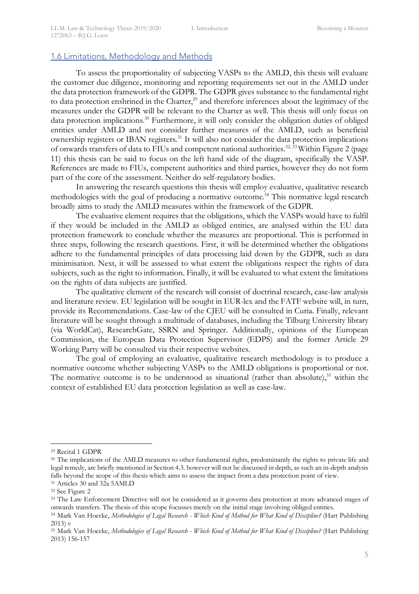### 1.6 Limitations, Methodology and Methods

To assess the proportionality of subjecting VASPs to the AMLD, this thesis will evaluate the customer due diligence, monitoring and reporting requirements set out in the AMLD under the data protection framework of the GDPR. The GDPR gives substance to the fundamental right to data protection enshrined in the Charter,<sup>29</sup> and therefore inferences about the legitimacy of the measures under the GDPR will be relevant to the Charter as well. This thesis will only focus on data protection implications.<sup>30</sup> Furthermore, it will only consider the obligation duties of obliged entities under AMLD and not consider further measures of the AMLD, such as beneficial ownership registers or IBAN registers.<sup>31</sup> It will also not consider the data protection implications of onwards transfers of data to FIUs and competent national authorities.<sup>32, 33</sup> Within Figure 2 (page 11) this thesis can be said to focus on the left hand side of the diagram, specifically the VASP. References are made to FIUs, competent authorities and third parties, however they do not form part of the core of the assessment. Neither do self-regulatory bodies.

In answering the research questions this thesis will employ evaluative, qualitative research methodologies with the goal of producing a normative outcome.<sup>34</sup> This normative legal research broadly aims to study the AMLD measures within the framework of the GDPR.

The evaluative element requires that the obligations, which the VASPs would have to fulfil if they would be included in the AMLD as obliged entities, are analysed within the EU data protection framework to conclude whether the measures are proportional. This is performed in three steps, following the research questions. First, it will be determined whether the obligations adhere to the fundamental principles of data processing laid down by the GDPR, such as data minimisation. Next, it will be assessed to what extent the obligations respect the rights of data subjects, such as the right to information. Finally, it will be evaluated to what extent the limitations on the rights of data subjects are justified.

The qualitative element of the research will consist of doctrinal research, case-law analysis and literature review. EU legislation will be sought in EUR-lex and the FATF website will, in turn, provide its Recommendations. Case-law of the CJEU will be consulted in Curia. Finally, relevant literature will be sought through a multitude of databases, including the Tilburg University library (via WorldCat), ResearchGate, SSRN and Springer. Additionally, opinions of the European Commission, the European Data Protection Supervisor (EDPS) and the former Article 29 Working Party will be consulted via their respective websites.

The goal of employing an evaluative, qualitative research methodology is to produce a normative outcome whether subjecting VASPs to the AMLD obligations is proportional or not. The normative outcome is to be understood as situational (rather than absolute),<sup>35</sup> within the context of established EU data protection legislation as well as case-law.

 <sup>29</sup> Recital 1 GDPR

<sup>&</sup>lt;sup>30</sup> The implications of the AMLD measures to other fundamental rights, predominantly the rights to private life and legal remedy, are briefly mentioned in Section 4.3. however will not be discussed in depth, as such an in-depth analysis falls beyond the scope of this thesis which aims to assess the impact from a data protection point of view. 31 Articles 30 and 32a 5AMLD

<sup>32</sup> See Figure 2

<sup>&</sup>lt;sup>33</sup> The Law Enforcement Directive will not be considered as it governs data protection at more advanced stages of onwards transfers. The thesis of this scope focusses merely on the initial stage involving obliged entities.<br><sup>34</sup> Mark Van Hoecke, *Methodologies of Legal Research - Which Kind of Method for What Kind of Discipline?* (Hart

<sup>2013)</sup> v

<sup>35</sup> Mark Van Hoecke, *Methodologies of Legal Research - Which Kind of Method for What Kind of Discipline?* (Hart Publishing 2013) 156-157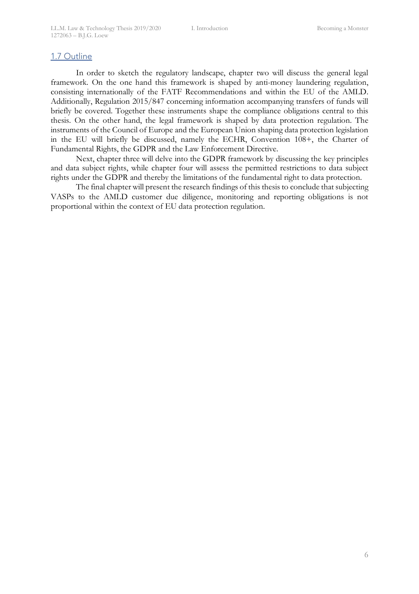## 1.7 Outline

In order to sketch the regulatory landscape, chapter two will discuss the general legal framework. On the one hand this framework is shaped by anti-money laundering regulation, consisting internationally of the FATF Recommendations and within the EU of the AMLD. Additionally, Regulation 2015/847 concerning information accompanying transfers of funds will briefly be covered. Together these instruments shape the compliance obligations central to this thesis. On the other hand, the legal framework is shaped by data protection regulation. The instruments of the Council of Europe and the European Union shaping data protection legislation in the EU will briefly be discussed, namely the ECHR, Convention 108+, the Charter of Fundamental Rights, the GDPR and the Law Enforcement Directive.

Next, chapter three will delve into the GDPR framework by discussing the key principles and data subject rights, while chapter four will assess the permitted restrictions to data subject rights under the GDPR and thereby the limitations of the fundamental right to data protection.

The final chapter will present the research findings of this thesis to conclude that subjecting VASPs to the AMLD customer due diligence, monitoring and reporting obligations is not proportional within the context of EU data protection regulation.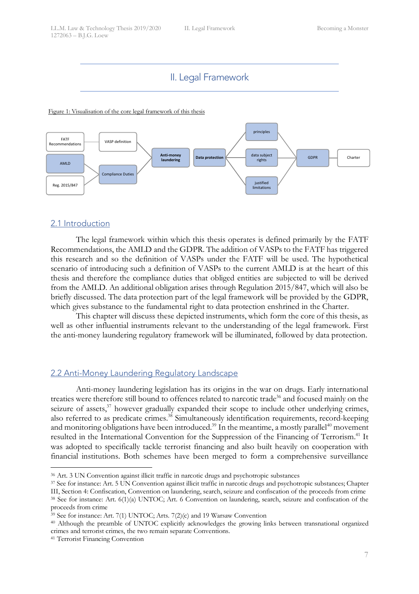## II. Legal Framework

Figure 1: Visualisation of the core legal framework of this thesis



## 2.1 Introduction

The legal framework within which this thesis operates is defined primarily by the FATF Recommendations, the AMLD and the GDPR. The addition of VASPs to the FATF has triggered this research and so the definition of VASPs under the FATF will be used. The hypothetical scenario of introducing such a definition of VASPs to the current AMLD is at the heart of this thesis and therefore the compliance duties that obliged entities are subjected to will be derived from the AMLD. An additional obligation arises through Regulation 2015/847, which will also be briefly discussed. The data protection part of the legal framework will be provided by the GDPR, which gives substance to the fundamental right to data protection enshrined in the Charter.

This chapter will discuss these depicted instruments, which form the core of this thesis, as well as other influential instruments relevant to the understanding of the legal framework. First the anti-money laundering regulatory framework will be illuminated, followed by data protection.

## 2.2 Anti-Money Laundering Regulatory Landscape

Anti-money laundering legislation has its origins in the war on drugs. Early international treaties were therefore still bound to offences related to narcotic trade<sup>36</sup> and focused mainly on the seizure of assets,<sup>37</sup> however gradually expanded their scope to include other underlying crimes, also referred to as predicate crimes.<sup>38</sup> Simultaneously identification requirements, record-keeping and monitoring obligations have been introduced.<sup>39</sup> In the meantime, a mostly parallel<sup>40</sup> movement resulted in the International Convention for the Suppression of the Financing of Terrorism.<sup>41</sup> It was adopted to specifically tackle terrorist financing and also built heavily on cooperation with financial institutions. Both schemes have been merged to form a comprehensive surveillance

 <sup>36</sup> Art. 3 UN Convention against illicit traffic in narcotic drugs and psychotropic substances

<sup>&</sup>lt;sup>37</sup> See for instance: Art. 5 UN Convention against illicit traffic in narcotic drugs and psychotropic substances; Chapter III, Section 4: Confiscation, Convention on laundering, search, seizure and confiscation of the proceeds from crime

<sup>38</sup> See for instance: Art. 6(1)(a) UNTOC; Art. 6 Convention on laundering, search, seizure and confiscation of the proceeds from crime

<sup>39</sup> See for instance: Art. 7(1) UNTOC; Arts. 7(2)(c) and 19 Warsaw Convention 40 Although the preamble of UNTOC explicitly acknowledges the growing links between transnational organized crimes and terrorist crimes, the two remain separate Conventions. 41 Terrorist Financing Convention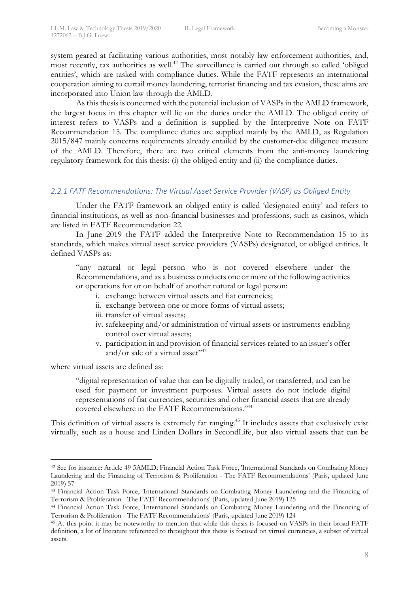system geared at facilitating various authorities, most notably law enforcement authorities, and, most recently, tax authorities as well. <sup>42</sup> The surveillance is carried out through so called 'obliged entities', which are tasked with compliance duties. While the FATF represents an international cooperation aiming to curtail money laundering, terrorist financing and tax evasion, these aims are incorporated into Union law through the AMLD.

As this thesis is concerned with the potential inclusion of VASPs in the AMLD framework, the largest focus in this chapter will lie on the duties under the AMLD. The obliged entity of interest refers to VASPs and a definition is supplied by the Interpretive Note on FATF Recommendation 15. The compliance duties are supplied mainly by the AMLD, as Regulation 2015/847 mainly concerns requirements already entailed by the customer-due diligence measure of the AMLD. Therefore, there are two critical elements from the anti-money laundering regulatory framework for this thesis: (i) the obliged entity and (ii) the compliance duties.

### *2.2.1 FATF Recommendations: The Virtual Asset Service Provider (VASP) as Obliged Entity*

Under the FATF framework an obliged entity is called 'designated entity' and refers to financial institutions, as well as non-financial businesses and professions, such as casinos, which are listed in FATF Recommendation 22.

In June 2019 the FATF added the Interpretive Note to Recommendation 15 to its standards, which makes virtual asset service providers (VASPs) designated, or obliged entities. It defined VASPs as:

"any natural or legal person who is not covered elsewhere under the Recommendations, and as a business conducts one or more of the following activities or operations for or on behalf of another natural or legal person:

- i. exchange between virtual assets and fiat currencies;
- ii. exchange between one or more forms of virtual assets;
- iii. transfer of virtual assets;
- iv. safekeeping and/or administration of virtual assets or instruments enabling control over virtual assets;
- v. participation in and provision of financial services related to an issuer's offer and/or sale of a virtual asset" $43$

where virtual assets are defined as:

"digital representation of value that can be digitally traded, or transferred, and can be used for payment or investment purposes. Virtual assets do not include digital representations of fiat currencies, securities and other financial assets that are already covered elsewhere in the FATF Recommendations."44

This definition of virtual assets is extremely far ranging.<sup>45</sup> It includes assets that exclusively exist virtually, such as a house and Linden Dollars in SecondLife, but also virtual assets that can be

 <sup>42</sup> See for instance: Article 49 5AMLD; Financial Action Task Force, 'International Standards on Combating Money Laundering and the Financing of Terrorism & Proliferation - The FATF Recommendations' (Paris, updated June 2019) 57

<sup>43</sup> Financial Action Task Force, 'International Standards on Combating Money Laundering and the Financing of Terrorism & Proliferation - The FATF Recommendations' (Paris, updated June 2019) 125

<sup>44</sup> Financial Action Task Force, 'International Standards on Combating Money Laundering and the Financing of Terrorism & Proliferation - The FATF Recommendations' (Paris, updated June 2019) 124

<sup>45</sup> At this point it may be noteworthy to mention that while this thesis is focused on VASPs in their broad FATF definition, a lot of literature referenced to throughout this thesis is focused on virtual currencies, a subset of virtual assets.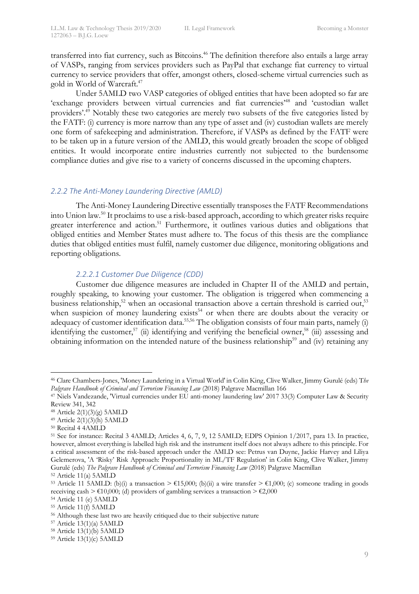transferred into fiat currency, such as Bitcoins.<sup>46</sup> The definition therefore also entails a large array of VASPs, ranging from services providers such as PayPal that exchange fiat currency to virtual currency to service providers that offer, amongst others, closed-scheme virtual currencies such as gold in World of Warcraft.47

Under 5AMLD two VASP categories of obliged entities that have been adopted so far are 'exchange providers between virtual currencies and fiat currencies' <sup>48</sup> and 'custodian wallet providers'. <sup>49</sup> Notably these two categories are merely two subsets of the five categories listed by the FATF: (i) currency is more narrow than any type of asset and (iv) custodian wallets are merely one form of safekeeping and administration. Therefore, if VASPs as defined by the FATF were to be taken up in a future version of the AMLD, this would greatly broaden the scope of obliged entities. It would incorporate entire industries currently not subjected to the burdensome compliance duties and give rise to a variety of concerns discussed in the upcoming chapters.

## *2.2.2 The Anti-Money Laundering Directive (AMLD)*

The Anti-Money Laundering Directive essentially transposes the FATF Recommendations into Union law.50 It proclaims to use a risk-based approach, according to which greater risks require greater interference and action.<sup>51</sup> Furthermore, it outlines various duties and obligations that obliged entities and Member States must adhere to. The focus of this thesis are the compliance duties that obliged entities must fulfil, namely customer due diligence, monitoring obligations and reporting obligations.

## *2.2.2.1 Customer Due Diligence (CDD)*

Customer due diligence measures are included in Chapter II of the AMLD and pertain, roughly speaking, to knowing your customer. The obligation is triggered when commencing a business relationship,<sup>52</sup> when an occasional transaction above a certain threshold is carried out,<sup>53</sup> when suspicion of money laundering exists<sup>54</sup> or when there are doubts about the veracity or adequacy of customer identification data.<sup>55,56</sup> The obligation consists of four main parts, namely (i) identifying the customer,<sup>57</sup> (ii) identifying and verifying the beneficial owner,<sup>58</sup> (iii) assessing and obtaining information on the intended nature of the business relationship<sup>59</sup> and (iv) retaining any

 <sup>46</sup> Clare Chambers-Jones, 'Money Laundering in a Virtual World' in Colin King, Clive Walker, Jimmy Gurulé (eds) T*he Palgrave Handbook of Criminal and Terrorism Financing Law* (2018) Palgrave Macmillan 166

<sup>47</sup> Niels Vandezande, 'Virtual currencies under EU anti-money laundering law' 2017 33(3) Computer Law & Security Review 341, 342

<sup>48</sup> Article 2(1)(3)(g) 5AMLD

<sup>49</sup> Article 2(1)(3)(h) 5AMLD

<sup>50</sup> Recital 4 4AMLD

<sup>51</sup> See for instance: Recital 3 4AMLD; Articles 4, 6, 7, 9, 12 5AMLD; EDPS Opinion 1/2017, para 13. In practice, however, almost everything is labelled high risk and the instrument itself does not always adhere to this principle. For a critical assessment of the risk-based approach under the AMLD see: Petrus van Duyne, Jackie Harvey and Liliya Gelemerova, 'A 'Risky' Risk Approach: Proportionality in ML/TF Regulation' in Colin King, Clive Walker, Jimmy Gurulé (eds) *The Palgrave Handbook of Criminal and Terrorism Financing Law* (2018) Palgrave Macmillan

<sup>52</sup> Article 11(a) 5AMLD

<sup>&</sup>lt;sup>53</sup> Article 11 5AMLD: (b)(i) a transaction  $\geq \text{\textsterling}15,000$ ; (b)(ii) a wire transfer  $\geq \text{\textsterling}1,000$ ; (c) someone trading in goods receiving cash >  $\epsilon$ 10,000; (d) providers of gambling services a transaction >  $\epsilon$ 2,000

<sup>54</sup> Article 11 (e) 5AMLD

<sup>55</sup> Article 11(f) 5AMLD

<sup>56</sup> Although these last two are heavily critiqued due to their subjective nature

<sup>57</sup> Article 13(1)(a) 5AMLD

<sup>58</sup> Article 13(1)(b) 5AMLD

<sup>59</sup> Article 13(1)(c) 5AMLD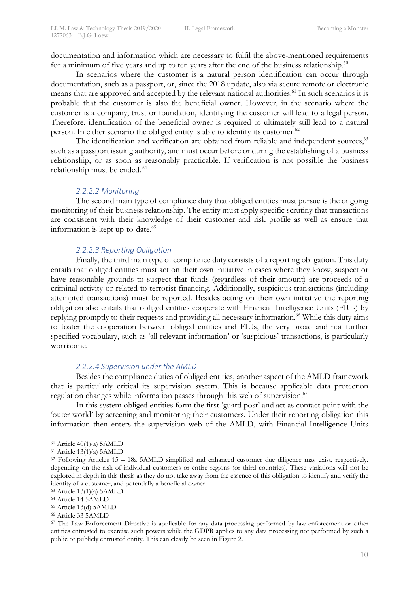documentation and information which are necessary to fulfil the above-mentioned requirements for a minimum of five years and up to ten years after the end of the business relationship.<sup>60</sup>

In scenarios where the customer is a natural person identification can occur through documentation, such as a passport, or, since the 2018 update, also via secure remote or electronic means that are approved and accepted by the relevant national authorities.<sup>61</sup> In such scenarios it is probable that the customer is also the beneficial owner. However, in the scenario where the customer is a company, trust or foundation, identifying the customer will lead to a legal person. Therefore, identification of the beneficial owner is required to ultimately still lead to a natural person. In either scenario the obliged entity is able to identify its customer.<sup>62</sup>

The identification and verification are obtained from reliable and independent sources,<sup>63</sup> such as a passport issuing authority, and must occur before or during the establishing of a business relationship, or as soon as reasonably practicable. If verification is not possible the business relationship must be ended. <sup>64</sup>

#### *2.2.2.2 Monitoring*

The second main type of compliance duty that obliged entities must pursue is the ongoing monitoring of their business relationship. The entity must apply specific scrutiny that transactions are consistent with their knowledge of their customer and risk profile as well as ensure that information is kept up-to-date.<sup>65</sup>

## *2.2.2.3 Reporting Obligation*

Finally, the third main type of compliance duty consists of a reporting obligation. This duty entails that obliged entities must act on their own initiative in cases where they know, suspect or have reasonable grounds to suspect that funds (regardless of their amount) are proceeds of a criminal activity or related to terrorist financing. Additionally, suspicious transactions (including attempted transactions) must be reported. Besides acting on their own initiative the reporting obligation also entails that obliged entities cooperate with Financial Intelligence Units (FIUs) by replying promptly to their requests and providing all necessary information.<sup>66</sup> While this duty aims to foster the cooperation between obliged entities and FIUs, the very broad and not further specified vocabulary, such as 'all relevant information' or 'suspicious' transactions, is particularly worrisome.

## *2.2.2.4 Supervision under the AMLD*

Besides the compliance duties of obliged entities, another aspect of the AMLD framework that is particularly critical its supervision system. This is because applicable data protection regulation changes while information passes through this web of supervision.<sup>67</sup>

In this system obliged entities form the first 'guard post' and act as contact point with the 'outer world' by screening and monitoring their customers. Under their reporting obligation this information then enters the supervision web of the AMLD, with Financial Intelligence Units

 $60$  Article  $40(1)(a)$  5AMLD

<sup>61</sup> Article 13(1)(a) 5AMLD

<sup>62</sup> Following Articles 15 – 18a 5AMLD simplified and enhanced customer due diligence may exist, respectively, depending on the risk of individual customers or entire regions (or third countries). These variations will not be explored in depth in this thesis as they do not take away from the essence of this obligation to identify and verify the identity of a customer, and potentially a beneficial owner.

<sup>63</sup> Article 13(1)(a) 5AMLD

<sup>64</sup> Article 14 5AMLD

<sup>65</sup> Article 13(d) 5AMLD

<sup>66</sup> Article 33 5AMLD

<sup>67</sup> The Law Enforcement Directive is applicable for any data processing performed by law-enforcement or other entities entrusted to exercise such powers while the GDPR applies to any data processing not performed by such a public or publicly entrusted entity. This can clearly be seen in Figure 2.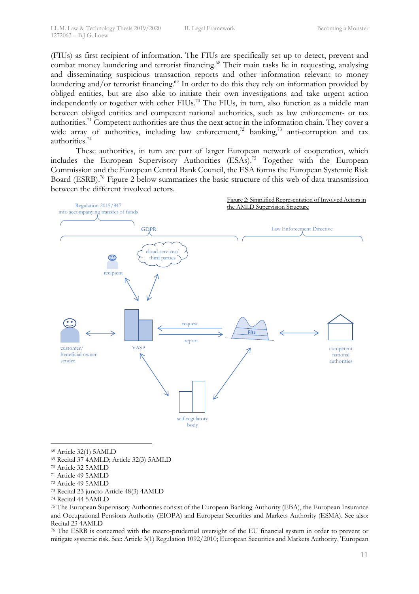(FIUs) as first recipient of information. The FIUs are specifically set up to detect, prevent and combat money laundering and terrorist financing.<sup>68</sup> Their main tasks lie in requesting, analysing and disseminating suspicious transaction reports and other information relevant to money laundering and/or terrorist financing.<sup>69</sup> In order to do this they rely on information provided by obliged entities, but are also able to initiate their own investigations and take urgent action independently or together with other FIUs.<sup>70</sup> The FIUs, in turn, also function as a middle man between obliged entities and competent national authorities, such as law enforcement- or tax authorities.<sup>71</sup> Competent authorities are thus the next actor in the information chain. They cover a wide array of authorities, including law enforcement,<sup>72</sup> banking,<sup>73</sup> anti-corruption and tax authorities.74

These authorities, in turn are part of larger European network of cooperation, which includes the European Supervisory Authorities (ESAs). <sup>75</sup> Together with the European Commission and the European Central Bank Council, the ESA forms the European Systemic Risk Board (ESRB).<sup>76</sup> Figure 2 below summarizes the basic structure of this web of data transmission between the different involved actors.



 <sup>68</sup> Article 32(1) 5AMLD

- <sup>71</sup> Article 49 5AMLD
- <sup>72</sup> Article 49 5AMLD
- <sup>73</sup> Recital 23 juncto Article 48(3) 4AMLD
- <sup>74</sup> Recital 44 5AMLD

<sup>75</sup> The European Supervisory Authorities consist of the European Banking Authority (EBA), the European Insurance and Occupational Pensions Authority (EIOPA) and European Securities and Markets Authority (ESMA). See also: Recital 23 4AMLD

<sup>76</sup> The ESRB is concerned with the macro-prudential oversight of the EU financial system in order to prevent or mitigate systemic risk. See: Article 3(1) Regulation 1092/2010; European Securities and Markets Authority, 'European

<sup>69</sup> Recital 37 4AMLD; Article 32(3) 5AMLD

<sup>70</sup> Article 32 5AMLD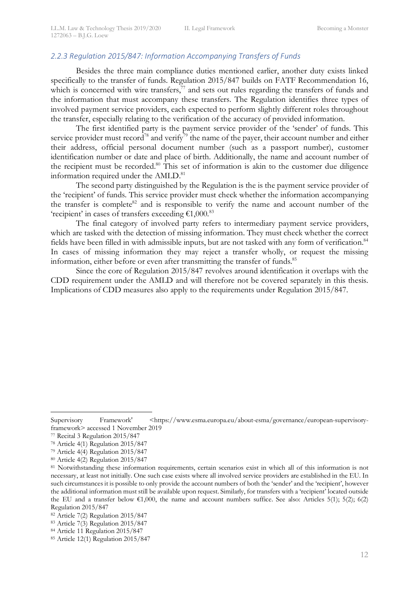## *2.2.3 Regulation 2015/847: Information Accompanying Transfers of Funds*

Besides the three main compliance duties mentioned earlier, another duty exists linked specifically to the transfer of funds. Regulation 2015/847 builds on FATF Recommendation 16, which is concerned with wire transfers, $\bar{y}$  and sets out rules regarding the transfers of funds and the information that must accompany these transfers. The Regulation identifies three types of involved payment service providers, each expected to perform slightly different roles throughout the transfer, especially relating to the verification of the accuracy of provided information.

The first identified party is the payment service provider of the 'sender' of funds. This service provider must record<sup>78</sup> and verify<sup>79</sup> the name of the payer, their account number and either their address, official personal document number (such as a passport number), customer identification number or date and place of birth. Additionally, the name and account number of the recipient must be recorded.<sup>80</sup> This set of information is akin to the customer due diligence information required under the AMLD.<sup>81</sup>

The second party distinguished by the Regulation is the is the payment service provider of the 'recipient' of funds. This service provider must check whether the information accompanying the transfer is complete<sup>82</sup> and is responsible to verify the name and account number of the 'recipient' in cases of transfers exceeding  $€1,000$ .<sup>83</sup>

The final category of involved party refers to intermediary payment service providers, which are tasked with the detection of missing information. They must check whether the correct fields have been filled in with admissible inputs, but are not tasked with any form of verification.<sup>84</sup> In cases of missing information they may reject a transfer wholly, or request the missing information, either before or even after transmitting the transfer of funds.<sup>85</sup>

Since the core of Regulation 2015/847 revolves around identification it overlaps with the CDD requirement under the AMLD and will therefore not be covered separately in this thesis. Implications of CDD measures also apply to the requirements under Regulation 2015/847.

Supervisory Framework' <https://www.esma.europa.eu/about-esma/governance/european-supervisoryframework> accessed 1 November 2019

<sup>77</sup> Recital 3 Regulation 2015/847

<sup>78</sup> Article 4(1) Regulation 2015/847

<sup>79</sup> Article 4(4) Regulation 2015/847

<sup>80</sup> Article 4(2) Regulation 2015/847

<sup>81</sup> Notwithstanding these information requirements, certain scenarios exist in which all of this information is not necessary, at least not initially. One such case exists where all involved service providers are established in the EU. In such circumstances it is possible to only provide the account numbers of both the 'sender' and the 'recipient', however the additional information must still be available upon request. Similarly, for transfers with a 'recipient' located outside the EU and a transfer below  $\epsilon 1,000$ , the name and account numbers suffice. See also: Articles 5(1); 5(2); 6(2) Regulation 2015/847

<sup>82</sup> Article 7(2) Regulation 2015/847

<sup>83</sup> Article 7(3) Regulation 2015/847

<sup>84</sup> Article 11 Regulation 2015/847

<sup>85</sup> Article 12(1) Regulation 2015/847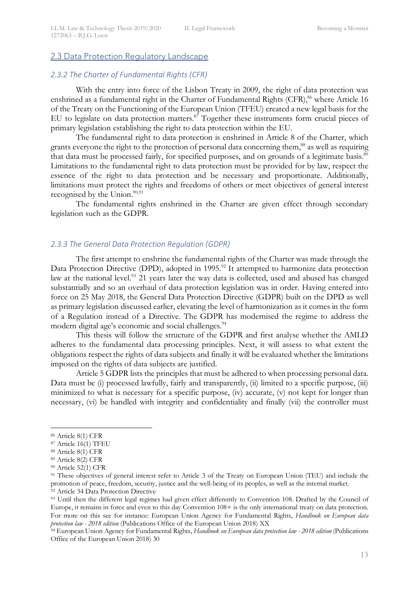## 2.3 Data Protection Regulatory Landscape

### *2.3.2 The Charter of Fundamental Rights (CFR)*

With the entry into force of the Lisbon Treaty in 2009, the right of data protection was enshrined as a fundamental right in the Charter of Fundamental Rights (CFR),<sup>86</sup> where Article 16 of the Treaty on the Functioning of the European Union (TFEU) created a new legal basis for the EU to legislate on data protection matters.<sup>87</sup> Together these instruments form crucial pieces of primary legislation establishing the right to data protection within the EU.

The fundamental right to data protection is enshrined in Article 8 of the Charter, which grants everyone the right to the protection of personal data concerning them,<sup>88</sup> as well as requiring that data must be processed fairly, for specified purposes, and on grounds of a legitimate basis.<sup>89</sup> Limitations to the fundamental right to data protection must be provided for by law, respect the essence of the right to data protection and be necessary and proportionate. Additionally, limitations must protect the rights and freedoms of others or meet objectives of general interest recognised by the Union. $90,91$ 

The fundamental rights enshrined in the Charter are given effect through secondary legislation such as the GDPR.

#### *2.3.3 The General Data Protection Regulation (GDPR)*

The first attempt to enshrine the fundamental rights of the Charter was made through the Data Protection Directive (DPD), adopted in 1995.<sup>92</sup> It attempted to harmonize data protection law at the national level.<sup>93</sup> 21 years later the way data is collected, used and abused has changed substantially and so an overhaul of data protection legislation was in order. Having entered into force on 25 May 2018, the General Data Protection Directive (GDPR) built on the DPD as well as primary legislation discussed earlier, elevating the level of harmonization as it comes in the form of a Regulation instead of a Directive. The GDPR has modernised the regime to address the modern digital age's economic and social challenges.<sup>94</sup>

This thesis will follow the structure of the GDPR and first analyse whether the AMLD adheres to the fundamental data processing principles. Next, it will assess to what extent the obligations respect the rights of data subjects and finally it will be evaluated whether the limitations imposed on the rights of data subjects are justified.

Article 5 GDPR lists the principles that must be adhered to when processing personal data. Data must be (i) processed lawfully, fairly and transparently, (ii) limited to a specific purpose, (iii) minimized to what is necessary for a specific purpose, (iv) accurate, (v) not kept for longer than necessary, (vi) be handled with integrity and confidentiality and finally (vii) the controller must

 <sup>86</sup> Article 8(1) CFR

<sup>87</sup> Article 16(1) TFEU

<sup>88</sup> Article 8(1) CFR

<sup>89</sup> Article 8(2) CFR

<sup>90</sup> Article 52(1) CFR

<sup>&</sup>lt;sup>91</sup> These objectives of general interest refer to Article 3 of the Treaty on European Union (TEU) and include the promotion of peace, freedom, security, justice and the well-being of its peoples, as well as the internal market.

<sup>&</sup>lt;sup>92</sup> Article 34 Data Protection Directive<br><sup>93</sup> Until then the different legal regimes had given effect differently to Convention 108. Drafted by the Council of Europe, it remains in force and even to this day Convention 108+ is the only international treaty on data protection. For more on this see for instance: European Union Agency for Fundamental Rights, *Handbook on European data protection law - 2018 edition* (Publications Office of the European Union 2018) XX

<sup>94</sup> European Union Agency for Fundamental Rights, *Handbook on European data protection law - 2018 edition* (Publications Office of the European Union 2018) 30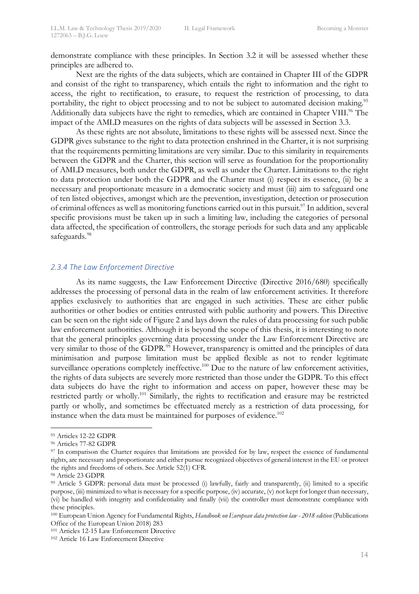demonstrate compliance with these principles. In Section 3.2 it will be assessed whether these principles are adhered to.

Next are the rights of the data subjects, which are contained in Chapter III of the GDPR and consist of the right to transparency, which entails the right to information and the right to access, the right to rectification, to erasure, to request the restriction of processing, to data portability, the right to object processing and to not be subject to automated decision making.<sup>95</sup> Additionally data subjects have the right to remedies, which are contained in Chapter VIII.<sup>96</sup> The impact of the AMLD measures on the rights of data subjects will be assessed in Section 3.3.

As these rights are not absolute, limitations to these rights will be assessed next. Since the GDPR gives substance to the right to data protection enshrined in the Charter, it is not surprising that the requirements permitting limitations are very similar. Due to this similarity in requirements between the GDPR and the Charter, this section will serve as foundation for the proportionality of AMLD measures, both under the GDPR, as well as under the Charter. Limitations to the right to data protection under both the GDPR and the Charter must (i) respect its essence, (ii) be a necessary and proportionate measure in a democratic society and must (iii) aim to safeguard one of ten listed objectives, amongst which are the prevention, investigation, detection or prosecution of criminal offences as well as monitoring functions carried out in this pursuit.97 In addition, several specific provisions must be taken up in such a limiting law, including the categories of personal data affected, the specification of controllers, the storage periods for such data and any applicable safeguards.<sup>98</sup>

### *2.3.4 The Law Enforcement Directive*

As its name suggests, the Law Enforcement Directive (Directive 2016/680) specifically addresses the processing of personal data in the realm of law enforcement activities. It therefore applies exclusively to authorities that are engaged in such activities. These are either public authorities or other bodies or entities entrusted with public authority and powers. This Directive can be seen on the right side of Figure 2 and lays down the rules of data processing for such public law enforcement authorities. Although it is beyond the scope of this thesis, it is interesting to note that the general principles governing data processing under the Law Enforcement Directive are very similar to those of the GDPR.<sup>99</sup> However, transparency is omitted and the principles of data minimisation and purpose limitation must be applied flexible as not to render legitimate surveillance operations completely ineffective.<sup>100</sup> Due to the nature of law enforcement activities, the rights of data subjects are severely more restricted than those under the GDPR. To this effect data subjects do have the right to information and access on paper, however these may be restricted partly or wholly.<sup>101</sup> Similarly, the rights to rectification and erasure may be restricted partly or wholly, and sometimes be effectuated merely as a restriction of data processing, for instance when the data must be maintained for purposes of evidence.<sup>102</sup>

 <sup>95</sup> Articles 12-22 GDPR

<sup>96</sup> Articles 77-82 GDPR

<sup>&</sup>lt;sup>97</sup> In comparison the Charter requires that limitations are provided for by law, respect the essence of fundamental rights, are necessary and proportionate and either pursue recognized objectives of general interest in the EU or protect the rights and freedoms of others. See Article 52(1) CFR.

<sup>98</sup> Article 23 GDPR

<sup>99</sup> Article 5 GDPR: personal data must be processed (i) lawfully, fairly and transparently, (ii) limited to a specific purpose, (iii) minimized to what is necessary for a specific purpose, (iv) accurate, (v) not kept for longer than necessary, (vi) be handled with integrity and confidentiality and finally (vii) the controller must demonstrate compliance with these principles.

<sup>100</sup> European Union Agency for Fundamental Rights, *Handbook on European data protection law - 2018 edition* (Publications Office of the European Union 2018) 283

<sup>101</sup> Articles 12-15 Law Enforcement Directive

<sup>102</sup> Article 16 Law Enforcement Directive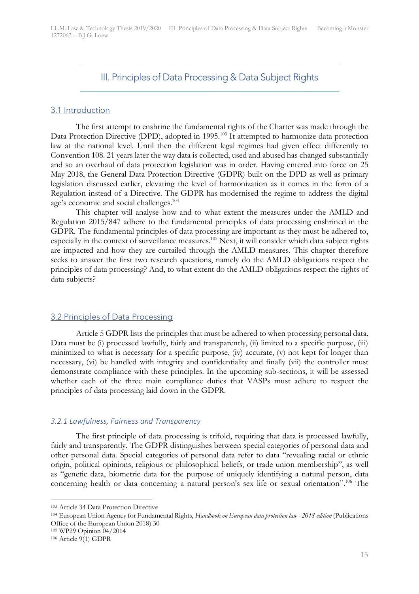## III. Principles of Data Processing & Data Subject Rights

#### 3.1 Introduction

The first attempt to enshrine the fundamental rights of the Charter was made through the Data Protection Directive (DPD), adopted in 1995.<sup>103</sup> It attempted to harmonize data protection law at the national level. Until then the different legal regimes had given effect differently to Convention 108. 21 years later the way data is collected, used and abused has changed substantially and so an overhaul of data protection legislation was in order. Having entered into force on 25 May 2018, the General Data Protection Directive (GDPR) built on the DPD as well as primary legislation discussed earlier, elevating the level of harmonization as it comes in the form of a Regulation instead of a Directive. The GDPR has modernised the regime to address the digital age's economic and social challenges.<sup>104</sup>

This chapter will analyse how and to what extent the measures under the AMLD and Regulation 2015/847 adhere to the fundamental principles of data processing enshrined in the GDPR. The fundamental principles of data processing are important as they must be adhered to, especially in the context of surveillance measures.<sup>105</sup> Next, it will consider which data subject rights are impacted and how they are curtailed through the AMLD measures. This chapter therefore seeks to answer the first two research questions, namely do the AMLD obligations respect the principles of data processing? And, to what extent do the AMLD obligations respect the rights of data subjects?

## 3.2 Principles of Data Processing

Article 5 GDPR lists the principles that must be adhered to when processing personal data. Data must be (i) processed lawfully, fairly and transparently, (ii) limited to a specific purpose, (iii) minimized to what is necessary for a specific purpose, (iv) accurate, (v) not kept for longer than necessary, (vi) be handled with integrity and confidentiality and finally (vii) the controller must demonstrate compliance with these principles. In the upcoming sub-sections, it will be assessed whether each of the three main compliance duties that VASPs must adhere to respect the principles of data processing laid down in the GDPR.

### *3.2.1 Lawfulness, Fairness and Transparency*

The first principle of data processing is trifold, requiring that data is processed lawfully, fairly and transparently. The GDPR distinguishes between special categories of personal data and other personal data. Special categories of personal data refer to data "revealing racial or ethnic origin, political opinions, religious or philosophical beliefs, or trade union membership", as well as "genetic data, biometric data for the purpose of uniquely identifying a natural person, data concerning health or data concerning a natural person's sex life or sexual orientation".<sup>106</sup> The

<sup>103</sup> Article 34 Data Protection Directive 104 European Union Agency for Fundamental Rights, *Handbook on European data protection law - 2018 edition* (Publications Office of the European Union 2018) 30

<sup>105</sup> WP29 Opinion 04/2014

<sup>106</sup> Article 9(1) GDPR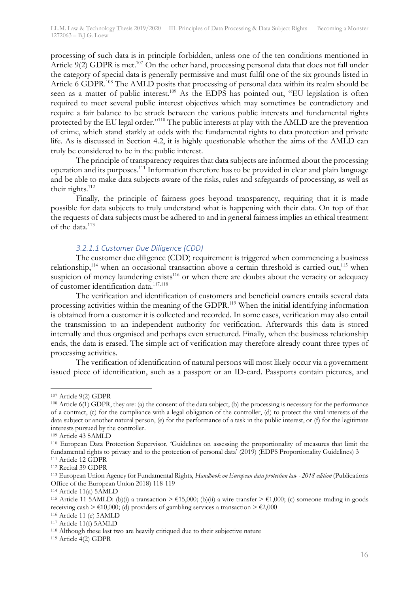processing of such data is in principle forbidden, unless one of the ten conditions mentioned in Article  $9(2)$  GDPR is met.<sup>107</sup> On the other hand, processing personal data that does not fall under the category of special data is generally permissive and must fulfil one of the six grounds listed in Article 6 GDPR.<sup>108</sup> The AMLD posits that processing of personal data within its realm should be seen as a matter of public interest.<sup>109</sup> As the EDPS has pointed out, "EU legislation is often required to meet several public interest objectives which may sometimes be contradictory and require a fair balance to be struck between the various public interests and fundamental rights protected by the EU legal order."110 The public interests at play with the AMLD are the prevention of crime, which stand starkly at odds with the fundamental rights to data protection and private life. As is discussed in Section 4.2, it is highly questionable whether the aims of the AMLD can truly be considered to be in the public interest.

The principle of transparency requires that data subjects are informed about the processing operation and its purposes.111 Information therefore has to be provided in clear and plain language and be able to make data subjects aware of the risks, rules and safeguards of processing, as well as their rights.<sup>112</sup>

Finally, the principle of fairness goes beyond transparency, requiring that it is made possible for data subjects to truly understand what is happening with their data. On top of that the requests of data subjects must be adhered to and in general fairness implies an ethical treatment of the data.<sup>113</sup>

### *3.2.1.1 Customer Due Diligence (CDD)*

The customer due diligence (CDD) requirement is triggered when commencing a business relationship,<sup>114</sup> when an occasional transaction above a certain threshold is carried out,<sup>115</sup> when suspicion of money laundering exists<sup>116</sup> or when there are doubts about the veracity or adequacy of customer identification data.<sup>117,118</sup>

The verification and identification of customers and beneficial owners entails several data processing activities within the meaning of the GDPR.119 When the initial identifying information is obtained from a customer it is collected and recorded. In some cases, verification may also entail the transmission to an independent authority for verification. Afterwards this data is stored internally and thus organised and perhaps even structured. Finally, when the business relationship ends, the data is erased. The simple act of verification may therefore already count three types of processing activities.

The verification of identification of natural persons will most likely occur via a government issued piece of identification, such as a passport or an ID-card. Passports contain pictures, and

 <sup>107</sup> Article 9(2) GDPR

<sup>108</sup> Article 6(1) GDPR, they are: (a) the consent of the data subject, (b) the processing is necessary for the performance of a contract, (c) for the compliance with a legal obligation of the controller, (d) to protect the vital interests of the data subject or another natural person, (e) for the performance of a task in the public interest, or (f) for the legitimate interests pursued by the controller.

<sup>109</sup> Article 43 5AMLD

<sup>110</sup> European Data Protection Supervisor, 'Guidelines on assessing the proportionality of measures that limit the fundamental rights to privacy and to the protection of personal data' (2019) (EDPS Proportionality Guidelines) 3

<sup>111</sup> Article 12 GDPR <sup>112</sup> Recital 39 GDPR

<sup>113</sup> European Union Agency for Fundamental Rights, *Handbook on European data protection law - 2018 edition* (Publications Office of the European Union 2018) 118-119

<sup>114</sup> Article 11(a) 5AMLD

<sup>&</sup>lt;sup>115</sup> Article 11 5AMLD: (b)(i) a transaction  $\geq \text{\textsterling}15,000$ ; (b)(ii) a wire transfer  $\geq \text{\textsterling}1,000$ ; (c) someone trading in goods receiving cash >  $\epsilon$ 10,000; (d) providers of gambling services a transaction >  $\epsilon$ 2,000

<sup>116</sup> Article 11 (e) 5AMLD

<sup>117</sup> Article 11(f) 5AMLD

<sup>118</sup> Although these last two are heavily critiqued due to their subjective nature

<sup>119</sup> Article 4(2) GDPR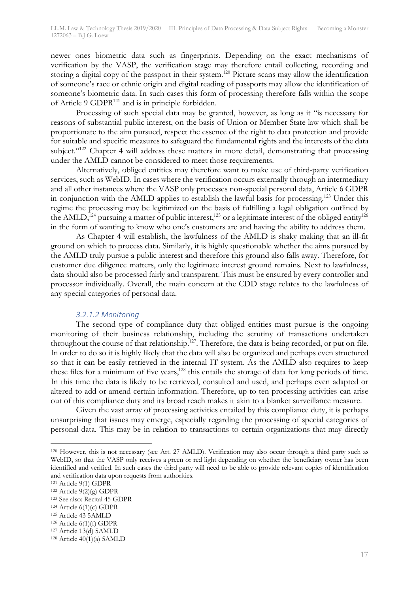newer ones biometric data such as fingerprints. Depending on the exact mechanisms of verification by the VASP, the verification stage may therefore entail collecting, recording and storing a digital copy of the passport in their system.<sup>120</sup> Picture scans may allow the identification of someone's race or ethnic origin and digital reading of passports may allow the identification of someone's biometric data. In such cases this form of processing therefore falls within the scope of Article 9 GDPR<sup>121</sup> and is in principle forbidden.

Processing of such special data may be granted, however, as long as it "is necessary for reasons of substantial public interest, on the basis of Union or Member State law which shall be proportionate to the aim pursued, respect the essence of the right to data protection and provide for suitable and specific measures to safeguard the fundamental rights and the interests of the data subject."<sup>122</sup> Chapter 4 will address these matters in more detail, demonstrating that processing under the AMLD cannot be considered to meet those requirements.

Alternatively, obliged entities may therefore want to make use of third-party verification services, such as WebID. In cases where the verification occurs externally through an intermediary and all other instances where the VASP only processes non-special personal data, Article 6 GDPR in conjunction with the AMLD applies to establish the lawful basis for processing.123 Under this regime the processing may be legitimized on the basis of fulfilling a legal obligation outlined by the AMLD,<sup>124</sup> pursuing a matter of public interest,<sup>125</sup> or a legitimate interest of the obliged entity<sup>126</sup> in the form of wanting to know who one's customers are and having the ability to address them.

As Chapter 4 will establish, the lawfulness of the AMLD is shaky making that an ill-fit ground on which to process data. Similarly, it is highly questionable whether the aims pursued by the AMLD truly pursue a public interest and therefore this ground also falls away. Therefore, for customer due diligence matters, only the legitimate interest ground remains. Next to lawfulness, data should also be processed fairly and transparent. This must be ensured by every controller and processor individually. Overall, the main concern at the CDD stage relates to the lawfulness of any special categories of personal data.

#### *3.2.1.2 Monitoring*

The second type of compliance duty that obliged entities must pursue is the ongoing monitoring of their business relationship, including the scrutiny of transactions undertaken throughout the course of that relationship.<sup>127</sup>. Therefore, the data is being recorded, or put on file. In order to do so it is highly likely that the data will also be organized and perhaps even structured so that it can be easily retrieved in the internal IT system. As the AMLD also requires to keep these files for a minimum of five years,<sup>128</sup> this entails the storage of data for long periods of time. In this time the data is likely to be retrieved, consulted and used, and perhaps even adapted or altered to add or amend certain information. Therefore, up to ten processing activities can arise out of this compliance duty and its broad reach makes it akin to a blanket surveillance measure.

Given the vast array of processing activities entailed by this compliance duty, it is perhaps unsurprising that issues may emerge, especially regarding the processing of special categories of personal data. This may be in relation to transactions to certain organizations that may directly

 <sup>120</sup> However, this is not necessary (see Art. 27 AMLD). Verification may also occur through a third party such as WebID, so that the VASP only receives a green or red light depending on whether the beneficiary owner has been identified and verified. In such cases the third party will need to be able to provide relevant copies of identification and verification data upon requests from authorities.

<sup>121</sup> Article 9(1) GDPR

 $122$  Article  $9(2)(g)$  GDPR

<sup>123</sup> See also: Recital 45 GDPR

 $124$  Article  $6(1)(c)$  GDPR

<sup>125</sup> Article 43 5AMLD

<sup>126</sup> Article 6(1)(f) GDPR

<sup>127</sup> Article 13(d) 5AMLD

 $128$  Article  $40(1)(a)$  5AMLD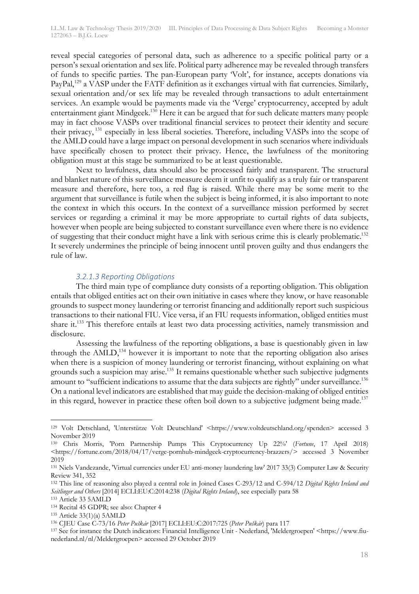reveal special categories of personal data, such as adherence to a specific political party or a person's sexual orientation and sex life. Political party adherence may be revealed through transfers of funds to specific parties. The pan-European party 'Volt', for instance, accepts donations via PayPal,<sup>129</sup> a VASP under the FATF definition as it exchanges virtual with fiat currencies. Similarly, sexual orientation and/or sex life may be revealed through transactions to adult entertainment services. An example would be payments made via the 'Verge' cryptocurrency, accepted by adult entertainment giant Mindgeek.130 Here it can be argued that for such delicate matters many people may in fact choose VASPs over traditional financial services to protect their identity and secure their privacy, <sup>131</sup> especially in less liberal societies. Therefore, including VASPs into the scope of the AMLD could have a large impact on personal development in such scenarios where individuals have specifically chosen to protect their privacy. Hence, the lawfulness of the monitoring obligation must at this stage be summarized to be at least questionable.

Next to lawfulness, data should also be processed fairly and transparent. The structural and blanket nature of this surveillance measure deem it unfit to qualify as a truly fair or transparent measure and therefore, here too, a red flag is raised. While there may be some merit to the argument that surveillance is futile when the subject is being informed, it is also important to note the context in which this occurs. In the context of a surveillance mission performed by secret services or regarding a criminal it may be more appropriate to curtail rights of data subjects, however when people are being subjected to constant surveillance even where there is no evidence of suggesting that their conduct might have a link with serious crime this is clearly problematic.132 It severely undermines the principle of being innocent until proven guilty and thus endangers the rule of law.

### *3.2.1.3 Reporting Obligations*

The third main type of compliance duty consists of a reporting obligation. This obligation entails that obliged entities act on their own initiative in cases where they know, or have reasonable grounds to suspect money laundering or terrorist financing and additionally report such suspicious transactions to their national FIU. Vice versa, if an FIU requests information, obliged entities must share it.133 This therefore entails at least two data processing activities, namely transmission and disclosure.

Assessing the lawfulness of the reporting obligations, a base is questionably given in law through the AMLD,<sup>134</sup> however it is important to note that the reporting obligation also arises when there is a suspicion of money laundering or terrorist financing, without explaining on what grounds such a suspicion may arise.<sup>135</sup> It remains questionable whether such subjective judgments amount to "sufficient indications to assume that the data subjects are rightly" under surveillance. $^{136}$ On a national level indicators are established that may guide the decision-making of obliged entities in this regard, however in practice these often boil down to a subjective judgment being made.<sup>137</sup>

<sup>133</sup> Article 33 5AMLD

 <sup>129</sup> Volt Detschland, 'Unterstütze Volt Deutschland' <https://www.voltdeutschland.org/spenden> accessed 3 November 2019

<sup>130</sup> Chris Morris, 'Porn Partnership Pumps This Cryptocurrency Up 22%' (*Fortune*, 17 April 2018) <https://fortune.com/2018/04/17/verge-pornhub-mindgeek-cryptocurrency-brazzers/> accessed 3 November 2019

<sup>131</sup> Niels Vandezande, 'Virtual currencies under EU anti-money laundering law' 2017 33(3) Computer Law & Security Review 341, 352

<sup>132</sup> This line of reasoning also played a central role in Joined Cases C-293/12 and C-594/12 *Digital Rights Ireland and Seitlinger and Others* [2014] ECLI:EU:C:2014:238 (*Digital Rights Ireland*), see especially para 58

<sup>134</sup> Recital 45 GDPR; see also: Chapter 4

<sup>135</sup> Article 33(1)(a) 5AMLD

<sup>136</sup> CJEU Case C-73/16 *Peter Puškár* [2017] ECLI:EU:C:2017:725 (*Peter Puškár*) para 117

<sup>137</sup> See for instance the Dutch indicators: Financial Intelligence Unit - Nederland, 'Meldergroepen' <https://www.fiunederland.nl/nl/Meldergroepen> accessed 29 October 2019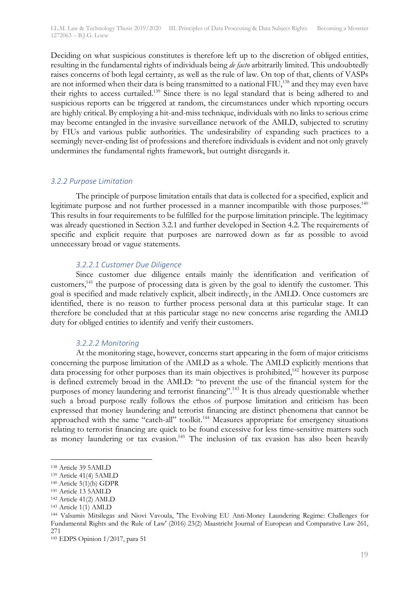Deciding on what suspicious constitutes is therefore left up to the discretion of obliged entities, resulting in the fundamental rights of individuals being *de facto* arbitrarily limited. This undoubtedly raises concerns of both legal certainty, as well as the rule of law. On top of that, clients of VASPs are not informed when their data is being transmitted to a national FIU,<sup>138</sup> and they may even have their rights to access curtailed.<sup>139</sup> Since there is no legal standard that is being adhered to and suspicious reports can be triggered at random, the circumstances under which reporting occurs are highly critical. By employing a hit-and-miss technique, individuals with no links to serious crime may become entangled in the invasive surveillance network of the AMLD, subjected to scrutiny by FIUs and various public authorities. The undesirability of expanding such practices to a seemingly never-ending list of professions and therefore individuals is evident and not only gravely undermines the fundamental rights framework, but outright disregards it.

## *3.2.2 Purpose Limitation*

The principle of purpose limitation entails that data is collected for a specified, explicit and legitimate purpose and not further processed in a manner incompatible with those purposes.<sup>140</sup> This results in four requirements to be fulfilled for the purpose limitation principle. The legitimacy was already questioned in Section 3.2.1 and further developed in Section 4.2. The requirements of specific and explicit require that purposes are narrowed down as far as possible to avoid unnecessary broad or vague statements.

## *3.2.2.1 Customer Due Diligence*

Since customer due diligence entails mainly the identification and verification of customers,<sup>141</sup> the purpose of processing data is given by the goal to identify the customer. This goal is specified and made relatively explicit, albeit indirectly, in the AMLD. Once customers are identified, there is no reason to further process personal data at this particular stage. It can therefore be concluded that at this particular stage no new concerns arise regarding the AMLD duty for obliged entities to identify and verify their customers.

## *3.2.2.2 Monitoring*

At the monitoring stage, however, concerns start appearing in the form of major criticisms concerning the purpose limitation of the AMLD as a whole. The AMLD explicitly mentions that data processing for other purposes than its main objectives is prohibited, $142$  however its purpose is defined extremely broad in the AMLD: "to prevent the use of the financial system for the purposes of money laundering and terrorist financing".<sup>143</sup> It is thus already questionable whether such a broad purpose really follows the ethos of purpose limitation and criticism has been expressed that money laundering and terrorist financing are distinct phenomena that cannot be approached with the same "catch-all" toolkit.<sup>144</sup> Measures appropriate for emergency situations relating to terrorist financing are quick to be found excessive for less time-sensitive matters such as money laundering or tax evasion.<sup>145</sup> The inclusion of tax evasion has also been heavily

 <sup>138</sup> Article 39 5AMLD

<sup>139</sup> Article 41(4) 5AMLD

<sup>140</sup> Article 5(1)(b) GDPR

<sup>141</sup> Article 13 5AMLD

<sup>142</sup> Article 41(2) AMLD

<sup>143</sup> Article 1(1) AMLD

<sup>144</sup> Valsamis Mitsilegas and Niovi Vavoula, 'The Evolving EU Anti-Money Laundering Regime: Challenges for Fundamental Rights and the Rule of Law' (2016) 23(2) Maastricht Journal of European and Comparative Law 261, 271

<sup>145</sup> EDPS Opinion 1/2017, para 51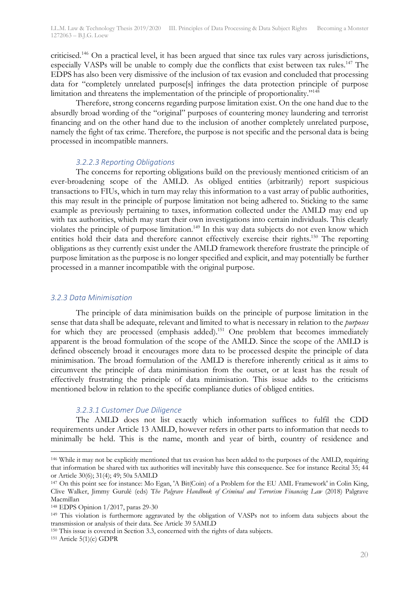criticised.<sup>146</sup> On a practical level, it has been argued that since tax rules vary across jurisdictions, especially VASPs will be unable to comply due the conflicts that exist between tax rules.<sup>147</sup> The EDPS has also been very dismissive of the inclusion of tax evasion and concluded that processing data for "completely unrelated purpose[s] infringes the data protection principle of purpose limitation and threatens the implementation of the principle of proportionality."148

Therefore, strong concerns regarding purpose limitation exist. On the one hand due to the absurdly broad wording of the "original" purposes of countering money laundering and terrorist financing and on the other hand due to the inclusion of another completely unrelated purpose, namely the fight of tax crime. Therefore, the purpose is not specific and the personal data is being processed in incompatible manners.

#### *3.2.2.3 Reporting Obligations*

The concerns for reporting obligations build on the previously mentioned criticism of an ever-broadening scope of the AMLD. As obliged entities (arbitrarily) report suspicious transactions to FIUs, which in turn may relay this information to a vast array of public authorities, this may result in the principle of purpose limitation not being adhered to. Sticking to the same example as previously pertaining to taxes, information collected under the AMLD may end up with tax authorities, which may start their own investigations into certain individuals. This clearly violates the principle of purpose limitation.<sup>149</sup> In this way data subjects do not even know which entities hold their data and therefore cannot effectively exercise their rights.<sup>150</sup> The reporting obligations as they currently exist under the AMLD framework therefore frustrate the principle of purpose limitation as the purpose is no longer specified and explicit, and may potentially be further processed in a manner incompatible with the original purpose.

#### *3.2.3 Data Minimisation*

The principle of data minimisation builds on the principle of purpose limitation in the sense that data shall be adequate, relevant and limited to what is necessary in relation to the *purposes* for which they are processed (emphasis added).<sup>151</sup> One problem that becomes immediately apparent is the broad formulation of the scope of the AMLD. Since the scope of the AMLD is defined obscenely broad it encourages more data to be processed despite the principle of data minimisation. The broad formulation of the AMLD is therefore inherently critical as it aims to circumvent the principle of data minimisation from the outset, or at least has the result of effectively frustrating the principle of data minimisation. This issue adds to the criticisms mentioned below in relation to the specific compliance duties of obliged entities.

## *3.2.3.1 Customer Due Diligence*

The AMLD does not list exactly which information suffices to fulfil the CDD requirements under Article 13 AMLD, however refers in other parts to information that needs to minimally be held. This is the name, month and year of birth, country of residence and

 <sup>146</sup> While it may not be explicitly mentioned that tax evasion has been added to the purposes of the AMLD, requiring that information be shared with tax authorities will inevitably have this consequence. See for instance Recital 35; 44 or Article 30(6); 31(4); 49; 50a 5AMLD

<sup>147</sup> On this point see for instance: Mo Egan, 'A Bit(Coin) of a Problem for the EU AML Framework' in Colin King, Clive Walker, Jimmy Gurulé (eds) T*he Palgrave Handbook of Criminal and Terrorism Financing Law* (2018) Palgrave Macmillan

<sup>148</sup> EDPS Opinion 1/2017, paras 29-30

<sup>149</sup> This violation is furthermore aggravated by the obligation of VASPs not to inform data subjects about the transmission or analysis of their data. See Article 39 5AMLD

<sup>&</sup>lt;sup>150</sup> This issue is covered in Section 3.3, concerned with the rights of data subjects. <sup>151</sup> Article 5(1)(c) GDPR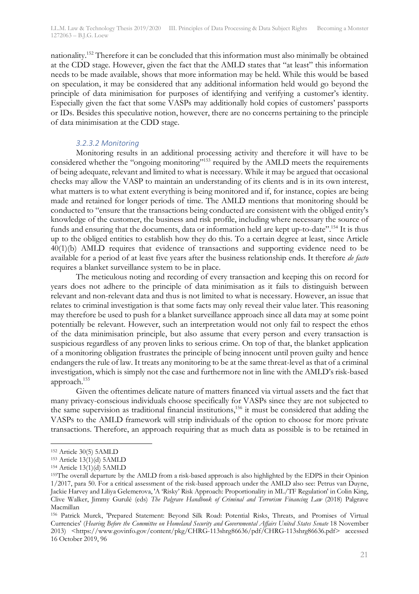nationality.152 Therefore it can be concluded that this information must also minimally be obtained at the CDD stage. However, given the fact that the AMLD states that "at least" this information needs to be made available, shows that more information may be held. While this would be based on speculation, it may be considered that any additional information held would go beyond the principle of data minimisation for purposes of identifying and verifying a customer's identity. Especially given the fact that some VASPs may additionally hold copies of customers' passports or IDs. Besides this speculative notion, however, there are no concerns pertaining to the principle of data minimisation at the CDD stage.

## *3.2.3.2 Monitoring*

Monitoring results in an additional processing activity and therefore it will have to be considered whether the "ongoing monitoring"<sup>153</sup> required by the AMLD meets the requirements of being adequate, relevant and limited to what is necessary. While it may be argued that occasional checks may allow the VASP to maintain an understanding of its clients and is in its own interest, what matters is to what extent everything is being monitored and if, for instance, copies are being made and retained for longer periods of time. The AMLD mentions that monitoring should be conducted to "ensure that the transactions being conducted are consistent with the obliged entity's knowledge of the customer, the business and risk profile, including where necessary the source of funds and ensuring that the documents, data or information held are kept up-to-date".<sup>154</sup> It is thus up to the obliged entities to establish how they do this. To a certain degree at least, since Article 40(1)(b) AMLD requires that evidence of transactions and supporting evidence need to be available for a period of at least five years after the business relationship ends. It therefore *de facto*  requires a blanket surveillance system to be in place.

The meticulous noting and recording of every transaction and keeping this on record for years does not adhere to the principle of data minimisation as it fails to distinguish between relevant and non-relevant data and thus is not limited to what is necessary. However, an issue that relates to criminal investigation is that some facts may only reveal their value later. This reasoning may therefore be used to push for a blanket surveillance approach since all data may at some point potentially be relevant. However, such an interpretation would not only fail to respect the ethos of the data minimisation principle, but also assume that every person and every transaction is suspicious regardless of any proven links to serious crime. On top of that, the blanket application of a monitoring obligation frustrates the principle of being innocent until proven guilty and hence endangers the rule of law. It treats any monitoring to be at the same threat-level as that of a criminal investigation, which is simply not the case and furthermore not in line with the AMLD's risk-based approach.155

Given the oftentimes delicate nature of matters financed via virtual assets and the fact that many privacy-conscious individuals choose specifically for VASPs since they are not subjected to the same supervision as traditional financial institutions,156 it must be considered that adding the VASPs to the AMLD framework will strip individuals of the option to choose for more private transactions. Therefore, an approach requiring that as much data as possible is to be retained in

 <sup>152</sup> Article 30(5) 5AMLD

<sup>153</sup> Article 13(1)(d) 5AMLD

<sup>154</sup> Article 13(1)(d) 5AMLD

<sup>155</sup>The overall departure by the AMLD from a risk-based approach is also highlighted by the EDPS in their Opinion 1/2017, para 50. For a critical assessment of the risk-based approach under the AMLD also see: Petrus van Duyne, Jackie Harvey and Liliya Gelemerova, 'A 'Risky' Risk Approach: Proportionality in ML/TF Regulation' in Colin King, Clive Walker, Jimmy Gurulé (eds) *The Palgrave Handbook of Criminal and Terrorism Financing Law* (2018) Palgrave Macmillan

<sup>156</sup> Patrick Murck, 'Prepared Statement: Beyond Silk Road: Potential Risks, Threats, and Promises of Virtual Currencies' (*Hearing Before the Committee on Homeland Security and Governmental Affairs United States Senate* 18 November 2013) <https://www.govinfo.gov/content/pkg/CHRG-113shrg86636/pdf/CHRG-113shrg86636.pdf> accessed 16 October 2019, 96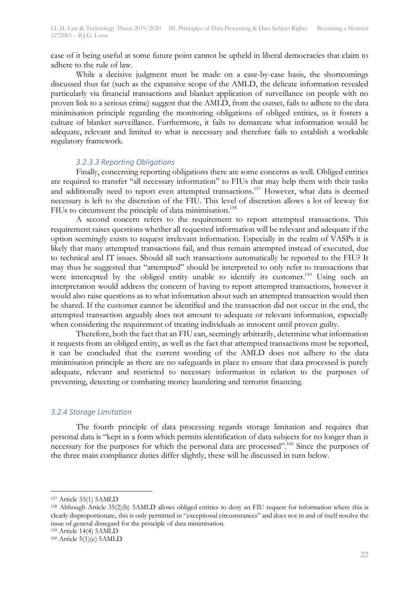case of it being useful at some future point cannot be upheld in liberal democracies that claim to adhere to the rule of law.

While a decisive judgment must be made on a case-by-case basis, the shortcomings discussed thus far (such as the expansive scope of the AMLD, the delicate information revealed particularly via financial transactions and blanket application of surveillance on people with no proven link to a serious crime) suggest that the AMLD, from the outset, fails to adhere to the data minimisation principle regarding the monitoring obligations of obliged entities, as it fosters a culture of blanket surveillance. Furthermore, it fails to demarcate what information would be adequate, relevant and limited to what is necessary and therefore fails to establish a workable regulatory framework.

#### *3.2.3.3 Reporting Obligations*

Finally, concerning reporting obligations there are some concerns as well. Obliged entities are required to transfer "all necessary information" to FIUs that may help them with their tasks and additionally need to report even attempted transactions.<sup>157</sup> However, what data is deemed necessary is left to the discretion of the FIU. This level of discretion allows a lot of leeway for FIUs to circumvent the principle of data minimisation.<sup>158</sup>

A second concern refers to the requirement to report attempted transactions. This requirement raises questions whether all requested information will be relevant and adequate if the option seemingly exists to request irrelevant information. Especially in the realm of VASPs it is likely that many attempted transactions fail, and thus remain attempted instead of executed, due to technical and IT issues. Should all such transactions automatically be reported to the FIU? It may thus be suggested that "attempted" should be interpreted to only refer to transactions that were intercepted by the obliged entity unable to identify its customer.<sup>159</sup> Using such an interpretation would address the concern of having to report attempted transactions, however it would also raise questions as to what information about such an attempted transaction would then be shared. If the customer cannot be identified and the transaction did not occur in the end, the attempted transaction arguably does not amount to adequate or relevant information, especially when considering the requirement of treating individuals as innocent until proven guilty.

Therefore, both the fact that an FIU can, seemingly arbitrarily, determine what information it requests from an obliged entity, as well as the fact that attempted transactions must be reported, it can be concluded that the current wording of the AMLD does not adhere to the data minimisation principle as there are no safeguards in place to ensure that data processed is purely adequate, relevant and restricted to necessary information in relation to the purposes of preventing, detecting or combating money laundering and terrorist financing.

#### *3.2.4 Storage Limitation*

The fourth principle of data processing regards storage limitation and requires that personal data is "kept in a form which permits identification of data subjects for no longer than is necessary for the purposes for which the personal data are processed".<sup>160</sup> Since the purposes of the three main compliance duties differ slightly, these will be discussed in turn below.

 <sup>157</sup> Article 33(1) 5AMLD

<sup>158</sup> Although Article 35(2)(b) 5AMLD allows obliged entities to deny an FIU request for information where this is clearly disproportionate, this is only permitted in "exceptional circumstances" and does not in and of itself resolve the issue of general disregard for the principle of data minimisation. 159 Article 14(4) 5AMLD

 $160$  Article  $5(1)(e)$  5 AMLD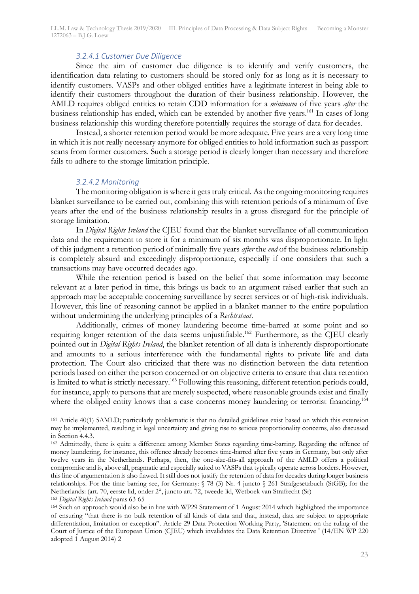LL.M. Law & Technology Thesis 2019/2020 III. Principles of Data Processing & Data Subject Rights Becoming a Monster 1272063 – B.J.G. Loew

#### *3.2.4.1 Customer Due Diligence*

Since the aim of customer due diligence is to identify and verify customers, the identification data relating to customers should be stored only for as long as it is necessary to identify customers. VASPs and other obliged entities have a legitimate interest in being able to identify their customers throughout the duration of their business relationship. However, the AMLD requires obliged entities to retain CDD information for a *minimum* of five years *after* the business relationship has ended, which can be extended by another five years.<sup>161</sup> In cases of long business relationship this wording therefore potentially requires the storage of data for decades.

Instead, a shorter retention period would be more adequate. Five years are a very long time in which it is not really necessary anymore for obliged entities to hold information such as passport scans from former customers. Such a storage period is clearly longer than necessary and therefore fails to adhere to the storage limitation principle.

#### *3.2.4.2 Monitoring*

The monitoring obligation is where it gets truly critical. As the ongoing monitoring requires blanket surveillance to be carried out, combining this with retention periods of a minimum of five years after the end of the business relationship results in a gross disregard for the principle of storage limitation.

In *Digital Rights Ireland* the CJEU found that the blanket surveillance of all communication data and the requirement to store it for a minimum of six months was disproportionate. In light of this judgment a retention period of minimally five years *after* the *end* of the business relationship is completely absurd and exceedingly disproportionate, especially if one considers that such a transactions may have occurred decades ago.

While the retention period is based on the belief that some information may become relevant at a later period in time, this brings us back to an argument raised earlier that such an approach may be acceptable concerning surveillance by secret services or of high-risk individuals. However, this line of reasoning cannot be applied in a blanket manner to the entire population without undermining the underlying principles of a *Rechtsstaat*.

Additionally, crimes of money laundering become time-barred at some point and so requiring longer retention of the data seems unjustifiable.<sup>162</sup> Furthermore, as the CJEU clearly pointed out in *Digital Rights Ireland*, the blanket retention of all data is inherently disproportionate and amounts to a serious interference with the fundamental rights to private life and data protection. The Court also criticized that there was no distinction between the data retention periods based on either the person concerned or on objective criteria to ensure that data retention is limited to what is strictly necessary.<sup>163</sup> Following this reasoning, different retention periods could, for instance, apply to persons that are merely suspected, where reasonable grounds exist and finally where the obliged entity knows that a case concerns money laundering or terrorist financing.<sup>164</sup>

 <sup>161</sup> Article 40(1) 5AMLD; particularly problematic is that no detailed guidelines exist based on which this extension may be implemented, resulting in legal uncertainty and giving rise to serious proportionality concerns, also discussed in Section 4.4.3.

<sup>162</sup> Admittedly, there is quite a difference among Member States regarding time-barring. Regarding the offence of money laundering, for instance, this offence already becomes time-barred after five years in Germany, but only after twelve years in the Netherlands. Perhaps, then, the one-size-fits-all approach of the AMLD offers a political compromise and is, above all, pragmatic and especially suited to VASPs that typically operate across borders. However, this line of argumentation is also flawed. It still does not justify the retention of data for decades during longer business relationships. For the time barring see, for Germany: § 78 (3) Nr. 4 juncto § 261 Strafgesetzbuch (StGB); for the Netherlands: (art. 70, eerste lid, onder 2°, juncto art. 72, tweede lid, Wetboek van Strafrecht (Sr)

<sup>163</sup> *Digital Rights Ireland* paras 63-65

<sup>164</sup> Such an approach would also be in line with WP29 Statement of 1 August 2014 which highlighted the importance of ensuring "that there is no bulk retention of all kinds of data and that, instead, data are subject to appropriate differentiation, limitation or exception". Article 29 Data Protection Working Party, 'Statement on the ruling of the Court of Justice of the European Union (CJEU) which invalidates the Data Retention Directive ' (14/EN WP 220 adopted 1 August 2014) 2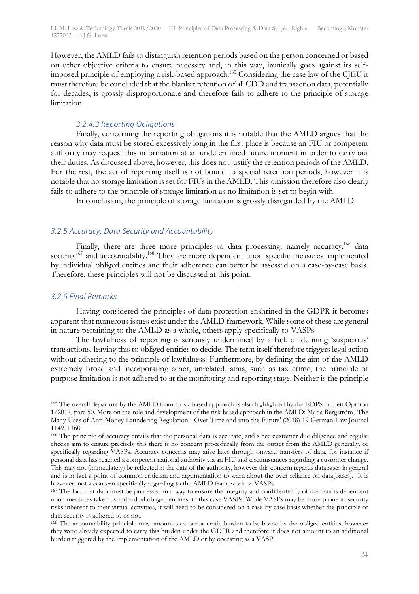LL.M. Law & Technology Thesis 2019/2020 III. Principles of Data Processing & Data Subject Rights Becoming a Monster 1272063 – B.J.G. Loew

However, the AMLD fails to distinguish retention periods based on the person concerned or based on other objective criteria to ensure necessity and, in this way, ironically goes against its selfimposed principle of employing a risk-based approach.165 Considering the case law of the CJEU it must therefore be concluded that the blanket retention of all CDD and transaction data, potentially for decades, is grossly disproportionate and therefore fails to adhere to the principle of storage limitation.

#### *3.2.4.3 Reporting Obligations*

Finally, concerning the reporting obligations it is notable that the AMLD argues that the reason why data must be stored excessively long in the first place is because an FIU or competent authority may request this information at an undetermined future moment in order to carry out their duties. As discussed above, however, this does not justify the retention periods of the AMLD. For the rest, the act of reporting itself is not bound to special retention periods, however it is notable that no storage limitation is set for FIUs in the AMLD. This omission therefore also clearly fails to adhere to the principle of storage limitation as no limitation is set to begin with.

In conclusion, the principle of storage limitation is grossly disregarded by the AMLD.

#### *3.2.5 Accuracy, Data Security and Accountability*

Finally, there are three more principles to data processing, namely accuracy,<sup>166</sup> data security<sup>167</sup> and accountability.<sup>168</sup> They are more dependent upon specific measures implemented by individual obliged entities and their adherence can better be assessed on a case-by-case basis. Therefore, these principles will not be discussed at this point.

#### *3.2.6 Final Remarks*

Having considered the principles of data protection enshrined in the GDPR it becomes apparent that numerous issues exist under the AMLD framework. While some of these are general in nature pertaining to the AMLD as a whole, others apply specifically to VASPs.

The lawfulness of reporting is seriously undermined by a lack of defining 'suspicious' transactions, leaving this to obliged entities to decide. The term itself therefore triggers legal action without adhering to the principle of lawfulness. Furthermore, by defining the aim of the AMLD extremely broad and incorporating other, unrelated, aims, such as tax crime, the principle of purpose limitation is not adhered to at the monitoring and reporting stage. Neither is the principle

 <sup>165</sup> The overall departure by the AMLD from a risk-based approach is also highlighted by the EDPS in their Opinion 1/2017, para 50. More on the role and development of the risk-based approach in the AMLD: Maria Bergström, 'The Many Uses of Anti-Money Laundering Regulation - Over Time and into the Future' (2018) 19 German Law Journal 1149, 1160

<sup>&</sup>lt;sup>166</sup> The principle of accuracy entails that the personal data is accurate, and since customer due diligence and regular checks aim to ensure precisely this there is no concern procedurally from the outset from the AMLD generally, or specifically regarding VASPs. Accuracy concerns may arise later through onward transfers of data, for instance if personal data has reached a competent national authority via an FIU and circumstances regarding a customer change. This may not (immediately) be reflected in the data of the authority, however this concern regards databases in general and is in fact a point of common criticism and argumentation to warn about the over-reliance on data(bases). It is however, not a concern specifically regarding to the AMLD framework or VASPs.

<sup>&</sup>lt;sup>167</sup> The fact that data must be processed in a way to ensure the integrity and confidentiality of the data is dependent upon measures taken by individual obliged entities, in this case VASPs. While VASPs may be more prone to security risks inherent to their virtual activities, it will need to be considered on a case-by-case basis whether the principle of data security is adhered to or not.

<sup>168</sup> The accountability principle may amount to a bureaucratic burden to be borne by the obliged entities, however they were already expected to carry this burden under the GDPR and therefore it does not amount to an additional burden triggered by the implementation of the AMLD or by operating as a VASP.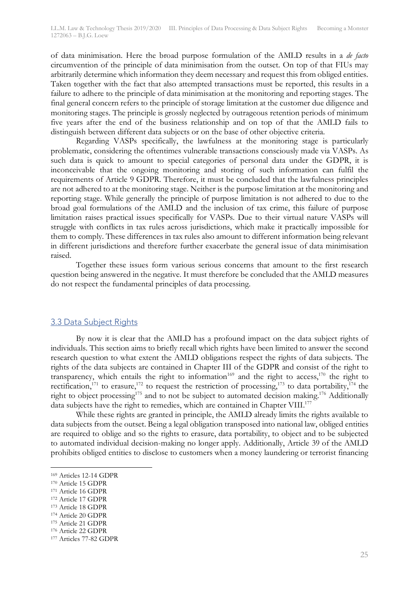of data minimisation. Here the broad purpose formulation of the AMLD results in a *de facto* circumvention of the principle of data minimisation from the outset. On top of that FIUs may arbitrarily determine which information they deem necessary and request this from obliged entities. Taken together with the fact that also attempted transactions must be reported, this results in a failure to adhere to the principle of data minimisation at the monitoring and reporting stages. The final general concern refers to the principle of storage limitation at the customer due diligence and monitoring stages. The principle is grossly neglected by outrageous retention periods of minimum five years after the end of the business relationship and on top of that the AMLD fails to distinguish between different data subjects or on the base of other objective criteria.

Regarding VASPs specifically, the lawfulness at the monitoring stage is particularly problematic, considering the oftentimes vulnerable transactions consciously made via VASPs. As such data is quick to amount to special categories of personal data under the GDPR, it is inconceivable that the ongoing monitoring and storing of such information can fulfil the requirements of Article 9 GDPR. Therefore, it must be concluded that the lawfulness principles are not adhered to at the monitoring stage. Neither is the purpose limitation at the monitoring and reporting stage. While generally the principle of purpose limitation is not adhered to due to the broad goal formulations of the AMLD and the inclusion of tax crime, this failure of purpose limitation raises practical issues specifically for VASPs. Due to their virtual nature VASPs will struggle with conflicts in tax rules across jurisdictions, which make it practically impossible for them to comply. These differences in tax rules also amount to different information being relevant in different jurisdictions and therefore further exacerbate the general issue of data minimisation raised.

Together these issues form various serious concerns that amount to the first research question being answered in the negative. It must therefore be concluded that the AMLD measures do not respect the fundamental principles of data processing.

## 3.3 Data Subject Rights

By now it is clear that the AMLD has a profound impact on the data subject rights of individuals. This section aims to briefly recall which rights have been limited to answer the second research question to what extent the AMLD obligations respect the rights of data subjects. The rights of the data subjects are contained in Chapter III of the GDPR and consist of the right to transparency, which entails the right to information<sup>169</sup> and the right to access,<sup>170</sup> the right to rectification,<sup>171</sup> to erasure,<sup>172</sup> to request the restriction of processing,<sup>173</sup> to data portability,<sup>174</sup> the right to object processing<sup>175</sup> and to not be subject to automated decision making.<sup>176</sup> Additionally data subjects have the right to remedies, which are contained in Chapter VIII.<sup>177</sup>

While these rights are granted in principle, the AMLD already limits the rights available to data subjects from the outset. Being a legal obligation transposed into national law, obliged entities are required to oblige and so the rights to erasure, data portability, to object and to be subjected to automated individual decision-making no longer apply. Additionally, Article 39 of the AMLD prohibits obliged entities to disclose to customers when a money laundering or terrorist financing

- <sup>171</sup> Article 16 GDPR
- <sup>172</sup> Article 17 GDPR
- <sup>173</sup> Article 18 GDPR
- <sup>174</sup> Article 20 GDPR
- <sup>175</sup> Article 21 GDPR

 <sup>169</sup> Articles 12-14 GDPR

<sup>170</sup> Article 15 GDPR

<sup>176</sup> Article 22 GDPR

<sup>177</sup> Articles 77-82 GDPR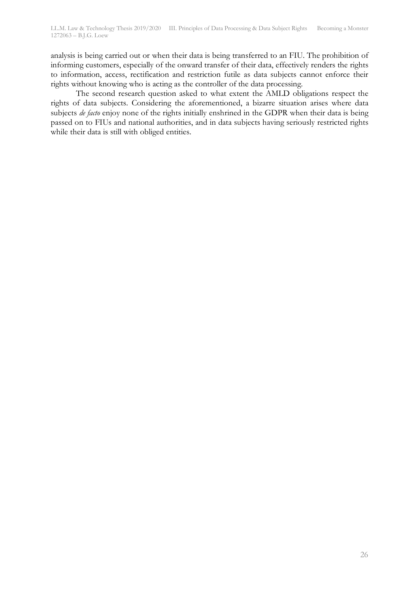analysis is being carried out or when their data is being transferred to an FIU. The prohibition of informing customers, especially of the onward transfer of their data, effectively renders the rights to information, access, rectification and restriction futile as data subjects cannot enforce their rights without knowing who is acting as the controller of the data processing.

The second research question asked to what extent the AMLD obligations respect the rights of data subjects. Considering the aforementioned, a bizarre situation arises where data subjects *de facto* enjoy none of the rights initially enshrined in the GDPR when their data is being passed on to FIUs and national authorities, and in data subjects having seriously restricted rights while their data is still with obliged entities.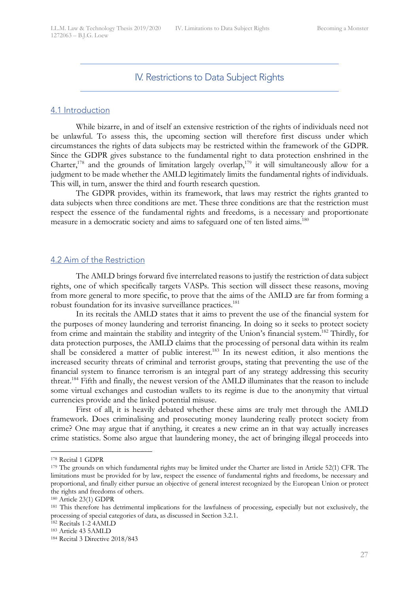IV. Restrictions to Data Subject Rights

#### 4.1 Introduction

While bizarre, in and of itself an extensive restriction of the rights of individuals need not be unlawful. To assess this, the upcoming section will therefore first discuss under which circumstances the rights of data subjects may be restricted within the framework of the GDPR. Since the GDPR gives substance to the fundamental right to data protection enshrined in the Charter,<sup>178</sup> and the grounds of limitation largely overlap,<sup>179</sup> it will simultaneously allow for a judgment to be made whether the AMLD legitimately limits the fundamental rights of individuals. This will, in turn, answer the third and fourth research question.

The GDPR provides, within its framework, that laws may restrict the rights granted to data subjects when three conditions are met. These three conditions are that the restriction must respect the essence of the fundamental rights and freedoms, is a necessary and proportionate measure in a democratic society and aims to safeguard one of ten listed aims.<sup>180</sup>

### 4.2 Aim of the Restriction

The AMLD brings forward five interrelated reasons to justify the restriction of data subject rights, one of which specifically targets VASPs. This section will dissect these reasons, moving from more general to more specific, to prove that the aims of the AMLD are far from forming a robust foundation for its invasive surveillance practices.<sup>181</sup>

In its recitals the AMLD states that it aims to prevent the use of the financial system for the purposes of money laundering and terrorist financing. In doing so it seeks to protect society from crime and maintain the stability and integrity of the Union's financial system.182 Thirdly, for data protection purposes, the AMLD claims that the processing of personal data within its realm shall be considered a matter of public interest.<sup>183</sup> In its newest edition, it also mentions the increased security threats of criminal and terrorist groups, stating that preventing the use of the financial system to finance terrorism is an integral part of any strategy addressing this security threat.184 Fifth and finally, the newest version of the AMLD illuminates that the reason to include some virtual exchanges and custodian wallets to its regime is due to the anonymity that virtual currencies provide and the linked potential misuse.

First of all, it is heavily debated whether these aims are truly met through the AMLD framework. Does criminalising and prosecuting money laundering really protect society from crime? One may argue that if anything, it creates a new crime an in that way actually increases crime statistics. Some also argue that laundering money, the act of bringing illegal proceeds into

 <sup>178</sup> Recital 1 GDPR

<sup>&</sup>lt;sup>179</sup> The grounds on which fundamental rights may be limited under the Charter are listed in Article 52(1) CFR. The limitations must be provided for by law, respect the essence of fundamental rights and freedoms, be necessary and proportional, and finally either pursue an objective of general interest recognized by the European Union or protect the rights and freedoms of others.

<sup>180</sup> Article 23(1) GDPR

<sup>&</sup>lt;sup>181</sup> This therefore has detrimental implications for the lawfulness of processing, especially but not exclusively, the processing of special categories of data, as discussed in Section 3.2.1. 182 Recitals 1-2 4AMLD

<sup>183</sup> Article 43 5AMLD

<sup>184</sup> Recital 3 Directive 2018/843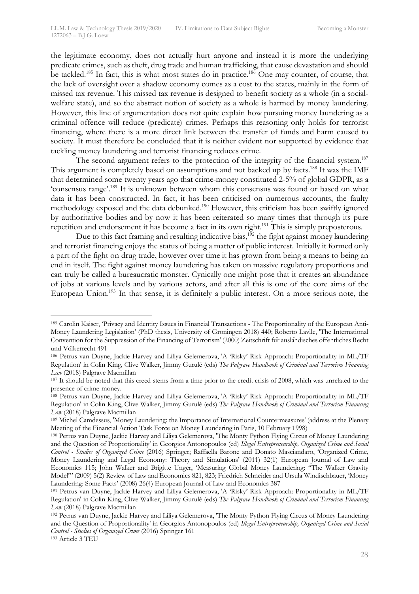the legitimate economy, does not actually hurt anyone and instead it is more the underlying predicate crimes, such as theft, drug trade and human trafficking, that cause devastation and should be tackled.<sup>185</sup> In fact, this is what most states do in practice.<sup>186</sup> One may counter, of course, that the lack of oversight over a shadow economy comes as a cost to the states, mainly in the form of missed tax revenue. This missed tax revenue is designed to benefit society as a whole (in a socialwelfare state), and so the abstract notion of society as a whole is harmed by money laundering. However, this line of argumentation does not quite explain how pursuing money laundering as a criminal offence will reduce (predicate) crimes. Perhaps this reasoning only holds for terrorist financing, where there is a more direct link between the transfer of funds and harm caused to society. It must therefore be concluded that it is neither evident nor supported by evidence that tackling money laundering and terrorist financing reduces crime.

The second argument refers to the protection of the integrity of the financial system.<sup>187</sup> This argument is completely based on assumptions and not backed up by facts.<sup>188</sup> It was the IMF that determined some twenty years ago that crime-money constituted 2-5% of global GDPR, as a 'consensus range'.189 It is unknown between whom this consensus was found or based on what data it has been constructed. In fact, it has been criticised on numerous accounts, the faulty methodology exposed and the data debunked. <sup>190</sup> However, this criticism has been swiftly ignored by authoritative bodies and by now it has been reiterated so many times that through its pure repetition and endorsement it has become a fact in its own right.<sup>191</sup> This is simply preposterous.

Due to this fact framing and resulting indicative bias, $1^{192}$  the fight against money laundering and terrorist financing enjoys the status of being a matter of public interest. Initially it formed only a part of the fight on drug trade, however over time it has grown from being a means to being an end in itself. The fight against money laundering has taken on massive regulatory proportions and can truly be called a bureaucratic monster. Cynically one might pose that it creates an abundance of jobs at various levels and by various actors, and after all this is one of the core aims of the European Union.<sup>193</sup> In that sense, it is definitely a public interest. On a more serious note, the

 <sup>185</sup> Carolin Kaiser, 'Privacy and Identity Issues in Financial Transactions - The Proportionality of the European Anti-Money Laundering Legislation' (PhD thesis, University of Groningen 2018) 440; Roberto Lavlle, 'The International Convention for the Suppression of the Financing of Terrorism' (2000) Zeitschrift für ausländisches öffentliches Recht und Völkerrecht 491

<sup>186</sup> Petrus van Duyne, Jackie Harvey and Liliya Gelemerova, 'A 'Risky' Risk Approach: Proportionality in ML/TF Regulation' in Colin King, Clive Walker, Jimmy Gurulé (eds) *The Palgrave Handbook of Criminal and Terrorism Financing Law* (2018) Palgrave Macmillan

<sup>&</sup>lt;sup>187</sup> It should be noted that this creed stems from a time prior to the credit crisis of 2008, which was unrelated to the presence of crime-money.

<sup>188</sup> Petrus van Duyne, Jackie Harvey and Liliya Gelemerova, 'A 'Risky' Risk Approach: Proportionality in ML/TF Regulation' in Colin King, Clive Walker, Jimmy Gurulé (eds) *The Palgrave Handbook of Criminal and Terrorism Financing Law* (2018) Palgrave Macmillan

<sup>189</sup> Michel Camdessus, 'Money Laundering: the Importance of International Countermeasures' (address at the Plenary Meeting of the Financial Action Task Force on Money Laundering in Paris, 10 February 1998)

<sup>190</sup> Petrus van Duyne, Jackie Harvey and Liliya Gelemerova, 'The Monty Python Flying Circus of Money Laundering and the Question of Proportionality' in Georgios Antonopoulos (ed) *Illegal Entrepreneurship, Organized Crime and Social Control - Studies of Organized Crime* (2016) Springer; Raffaella Barone and Donato Masciandaro, 'Organized Crime, Money Laundering and Legal Economy: Theory and Simulations' (2011) 32(1) European Journal of Law and Economics 115; John Walker and Brigitte Unger, 'Measuring Global Money Laundering: "The Walker Gravity Model"' (2009) 5(2) Review of Law and Economics 821, 823; Friedrich Schneider and Ursula Windischbauer, 'Money Laundering: Some Facts' (2008) 26(4) European Journal of Law and Economics 387

<sup>191</sup> Petrus van Duyne, Jackie Harvey and Liliya Gelemerova, 'A 'Risky' Risk Approach: Proportionality in ML/TF Regulation' in Colin King, Clive Walker, Jimmy Gurulé (eds) *The Palgrave Handbook of Criminal and Terrorism Financing Law* (2018) Palgrave Macmillan

<sup>192</sup> Petrus van Duyne, Jackie Harvey and Liliya Gelemerova, 'The Monty Python Flying Circus of Money Laundering and the Question of Proportionality' in Georgios Antonopoulos (ed) *Illegal Entrepreneurship, Organized Crime and Social Control - Studies of Organized Crime* (2016) Springer 161 <sup>193</sup> Article 3 TEU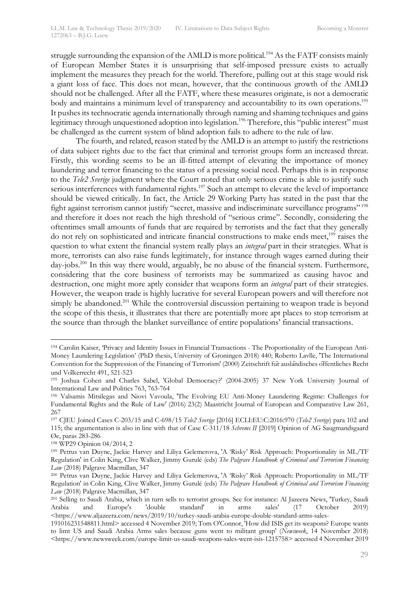struggle surrounding the expansion of the AMLD is more political.<sup>194</sup> As the FATF consists mainly of European Member States it is unsurprising that self-imposed pressure exists to actually implement the measures they preach for the world. Therefore, pulling out at this stage would risk a giant loss of face. This does not mean, however, that the continuous growth of the AMLD should not be challenged. After all the FATF, where these measures originate, is not a democratic body and maintains a minimum level of transparency and accountability to its own operations.<sup>195</sup> It pushes its technocratic agenda internationally through naming and shaming techniques and gains legitimacy through unquestioned adoption into legislation.<sup>196</sup> Therefore, this "public interest" must be challenged as the current system of blind adoption fails to adhere to the rule of law.

The fourth, and related, reason stated by the AMLD is an attempt to justify the restrictions of data subject rights due to the fact that criminal and terrorist groups form an increased threat. Firstly, this wording seems to be an ill-fitted attempt of elevating the importance of money laundering and terror financing to the status of a pressing social need. Perhaps this is in response to the *Tele2 Sverige* judgment where the Court noted that only serious crime is able to justify such serious interferences with fundamental rights.<sup>197</sup> Such an attempt to elevate the level of importance should be viewed critically. In fact, the Article 29 Working Party has stated in the past that the fight against terrorism cannot justify "secret, massive and indiscriminate surveillance programs"<sup>198</sup> and therefore it does not reach the high threshold of "serious crime". Secondly, considering the oftentimes small amounts of funds that are required by terrorists and the fact that they generally do not rely on sophisticated and intricate financial constructions to make ends meet,<sup>199</sup> raises the question to what extent the financial system really plays an *integral* part in their strategies. What is more, terrorists can also raise funds legitimately, for instance through wages earned during their day-jobs.<sup>200</sup> In this way there would, arguably, be no abuse of the financial system. Furthermore, considering that the core business of terrorists may be summarized as causing havoc and destruction, one might more aptly consider that weapons form an *integral* part of their strategies. However, the weapon trade is highly lucrative for several European powers and will therefore not simply be abandoned.<sup>201</sup> While the controversial discussion pertaining to weapon trade is beyond the scope of this thesis, it illustrates that there are potentially more apt places to stop terrorism at the source than through the blanket surveillance of entire populations' financial transactions.

 <sup>194</sup> Carolin Kaiser, 'Privacy and Identity Issues in Financial Transactions - The Proportionality of the European Anti-Money Laundering Legislation' (PhD thesis, University of Groningen 2018) 440; Roberto Lavlle, 'The International Convention for the Suppression of the Financing of Terrorism' (2000) Zeitschrift für ausländisches öffentliches Recht

und Volkerrecht 491, 521-523<br><sup>195</sup> Joshua Cohen and Charles Sabel, 'Global Democracy?' (2004-2005) 37 New York University Journal of International Law and Politics 763, 763-764

<sup>196</sup> Valsamis Mitsilegas and Niovi Vavoula, 'The Evolving EU Anti-Money Laundering Regime: Challenges for Fundamental Rights and the Rule of Law' (2016) 23(2) Maastricht Journal of European and Comparative Law 261, 267

<sup>197</sup> CJEU Joined Cases C-203/15 and C-698/15 *Tele2 Sverige* [2016] ECLI:EU:C:2016:970 (*Tele2 Sverige*) para 102 and 115; the argumentation is also in line with that of Case C-311/18 *Schrems II* [2019] Opinion of AG Saugmandsgaard Øe, paras 283-286

<sup>198</sup> WP29 Opinion 04/2014, 2

<sup>199</sup> Petrus van Duyne, Jackie Harvey and Liliya Gelemerova, 'A 'Risky' Risk Approach: Proportionality in ML/TF Regulation' in Colin King, Clive Walker, Jimmy Gurulé (eds) *The Palgrave Handbook of Criminal and Terrorism Financing Law* (2018) Palgrave Macmillan, 347

<sup>200</sup> Petrus van Duyne, Jackie Harvey and Liliya Gelemerova, 'A 'Risky' Risk Approach: Proportionality in ML/TF Regulation' in Colin King, Clive Walker, Jimmy Gurulé (eds) *The Palgrave Handbook of Criminal and Terrorism Financing Law* (2018) Palgrave Macmillan, 347

<sup>201</sup> Selling to Saudi Arabia, which in turn sells to terrorist groups. See for instance: Al Jazeera News, 'Turkey, Saudi Arabia and Europe's 'double standard' in arms sales' (17 October 2019) <https://www.aljazeera.com/news/2019/10/turkey-saudi-arabia-europe-double-standard-arms-sales-

<sup>191016231548811.</sup>html> accessed 4 November 2019; Tom O'Connor, 'How did ISIS get its weapons? Europe wants to limt US and Saudi Arabia Arms sales because guns went to militant group' (*Newsweek*, 14 November 2018) <https://www.newsweek.com/europe-limit-us-saudi-weapons-sales-went-isis-1215758> accessed 4 November 2019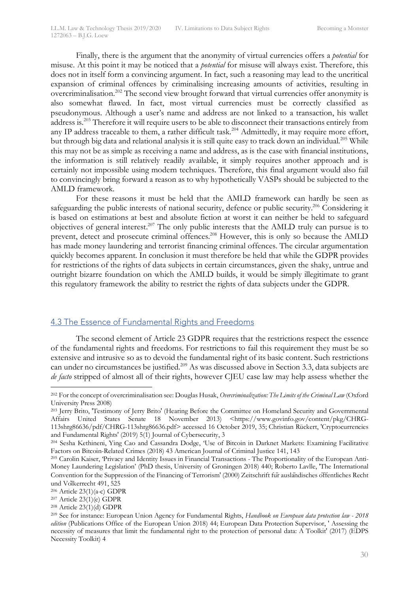Finally, there is the argument that the anonymity of virtual currencies offers a *potential* for misuse. At this point it may be noticed that a *potential* for misuse will always exist. Therefore, this does not in itself form a convincing argument. In fact, such a reasoning may lead to the uncritical expansion of criminal offences by criminalising increasing amounts of activities, resulting in overcriminalisation.<sup>202</sup> The second view brought forward that virtual currencies offer anonymity is also somewhat flawed. In fact, most virtual currencies must be correctly classified as pseudonymous. Although a user's name and address are not linked to a transaction, his wallet address is.203 Therefore it will require users to be able to disconnect their transactions entirely from any IP address traceable to them, a rather difficult task.<sup>204</sup> Admittedly, it may require more effort, but through big data and relational analysis it is still quite easy to track down an individual.<sup>205</sup> While this may not be as simple as receiving a name and address, as is the case with financial institutions, the information is still relatively readily available, it simply requires another approach and is certainly not impossible using modern techniques. Therefore, this final argument would also fail to convincingly bring forward a reason as to why hypothetically VASPs should be subjected to the AMLD framework.

For these reasons it must be held that the AMLD framework can hardly be seen as safeguarding the public interests of national security, defence or public security.<sup>206</sup> Considering it is based on estimations at best and absolute fiction at worst it can neither be held to safeguard objectives of general interest.207 The only public interests that the AMLD truly can pursue is to prevent, detect and prosecute criminal offences.<sup>208</sup> However, this is only so because the AMLD has made money laundering and terrorist financing criminal offences. The circular argumentation quickly becomes apparent. In conclusion it must therefore be held that while the GDPR provides for restrictions of the rights of data subjects in certain circumstances, given the shaky, untrue and outright bizarre foundation on which the AMLD builds, it would be simply illegitimate to grant this regulatory framework the ability to restrict the rights of data subjects under the GDPR.

## 4.3 The Essence of Fundamental Rights and Freedoms

The second element of Article 23 GDPR requires that the restrictions respect the essence of the fundamental rights and freedoms. For restrictions to fail this requirement they must be so extensive and intrusive so as to devoid the fundamental right of its basic content. Such restrictions can under no circumstances be justified.<sup>209</sup> As was discussed above in Section 3.3, data subjects are *de facto* stripped of almost all of their rights, however CJEU case law may help assess whether the

 <sup>202</sup> For the concept of overcriminalisation see: Douglas Husak, *Overcriminalization: The Limits of the Criminal Law* (Oxford University Press 2008)

<sup>&</sup>lt;sup>203</sup> Jerry Brito, 'Testimony of Jerry Brito' (Hearing Before the Committee on Homeland Security and Governmental Affairs United States Senate 18 November 2013) <https://www.govinfo.gov/content/pkg/CHRG-113shrg86636/pdf/CHRG-113shrg86636.pdf> accessed 16 October 2019, 35; Christian Rückert, 'Cryptocurrencies and Fundamental Rights' (2019) 5(1) Journal of Cybersecurity, 3

<sup>204</sup> Sesha Kethineni, Ying Cao and Cassandra Dodge, 'Use of Bitcoin in Darknet Markets: Examining Facilitative Factors on Bitcoin-Related Crimes (2018) 43 American Journal of Criminal Justice 141, 143

<sup>205</sup> Carolin Kaiser, 'Privacy and Identity Issues in Financial Transactions - The Proportionality of the European Anti-Money Laundering Legislation' (PhD thesis, University of Groningen 2018) 440; Roberto Lavlle, 'The International Convention for the Suppression of the Financing of Terrorism' (2000) Zeitschrift für ausländisches öffentliches Recht und Völkerrecht 491, 525

<sup>206</sup> Article 23(1)(a-c) GDPR

 $207$  Article  $23(1)(e)$  GDPR

<sup>208</sup> Article 23(1)(d) GDPR

<sup>209</sup> See for instance: European Union Agency for Fundamental Rights, *Handbook on European data protection law - 2018 edition* (Publications Office of the European Union 2018) 44; European Data Protection Supervisor, ' Assessing the necessity of measures that limit the fundamental right to the protection of personal data: A Toolkit' (2017) (EDPS Necessity Toolkit) 4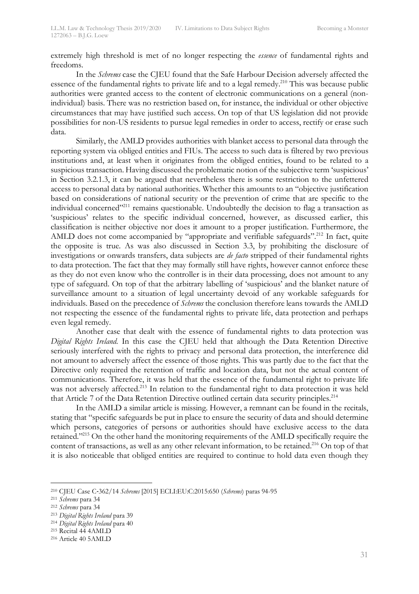extremely high threshold is met of no longer respecting the *essence* of fundamental rights and freedoms.

In the *Schrems* case the CJEU found that the Safe Harbour Decision adversely affected the essence of the fundamental rights to private life and to a legal remedy.<sup>210</sup> This was because public authorities were granted access to the content of electronic communications on a general (nonindividual) basis. There was no restriction based on, for instance, the individual or other objective circumstances that may have justified such access. On top of that US legislation did not provide possibilities for non-US residents to pursue legal remedies in order to access, rectify or erase such data.

Similarly, the AMLD provides authorities with blanket access to personal data through the reporting system via obliged entities and FIUs. The access to such data is filtered by two previous institutions and, at least when it originates from the obliged entities, found to be related to a suspicious transaction. Having discussed the problematic notion of the subjective term 'suspicious' in Section 3.2.1.3, it can be argued that nevertheless there is some restriction to the unfettered access to personal data by national authorities. Whether this amounts to an "objective justification based on considerations of national security or the prevention of crime that are specific to the individual concerned"<sup>211</sup> remains questionable. Undoubtedly the decision to flag a transaction as 'suspicious' relates to the specific individual concerned, however, as discussed earlier, this classification is neither objective nor does it amount to a proper justification. Furthermore, the AMLD does not come accompanied by "appropriate and verifiable safeguards".<sup>212</sup> In fact, quite the opposite is true. As was also discussed in Section 3.3, by prohibiting the disclosure of investigations or onwards transfers, data subjects are *de facto* stripped of their fundamental rights to data protection. The fact that they may formally still have rights, however cannot enforce these as they do not even know who the controller is in their data processing, does not amount to any type of safeguard. On top of that the arbitrary labelling of 'suspicious' and the blanket nature of surveillance amount to a situation of legal uncertainty devoid of any workable safeguards for individuals. Based on the precedence of *Schrems* the conclusion therefore leans towards the AMLD not respecting the essence of the fundamental rights to private life, data protection and perhaps even legal remedy.

Another case that dealt with the essence of fundamental rights to data protection was *Digital Rights Ireland*. In this case the CJEU held that although the Data Retention Directive seriously interfered with the rights to privacy and personal data protection, the interference did not amount to adversely affect the essence of those rights. This was partly due to the fact that the Directive only required the retention of traffic and location data, but not the actual content of communications. Therefore, it was held that the essence of the fundamental right to private life was not adversely affected.<sup>213</sup> In relation to the fundamental right to data protection it was held that Article 7 of the Data Retention Directive outlined certain data security principles.<sup>214</sup>

In the AMLD a similar article is missing. However, a remnant can be found in the recitals, stating that "specific safeguards be put in place to ensure the security of data and should determine which persons, categories of persons or authorities should have exclusive access to the data retained."215 On the other hand the monitoring requirements of the AMLD specifically require the content of transactions, as well as any other relevant information, to be retained.<sup>216</sup> On top of that it is also noticeable that obliged entities are required to continue to hold data even though they

 <sup>210</sup> CJEU Case C-362/14 *Schrems* [2015] ECLI:EU:C:2015:650 (*Schrems*) paras 94-95

<sup>211</sup> *Schrems* para 34

<sup>212</sup> *Schrems* para 34

<sup>213</sup> *Digital Rights Ireland* para 39

<sup>214</sup> *Digital Rights Ireland* para 40

<sup>215</sup> Recital 44 4AMLD

<sup>216</sup> Article 40 5AMLD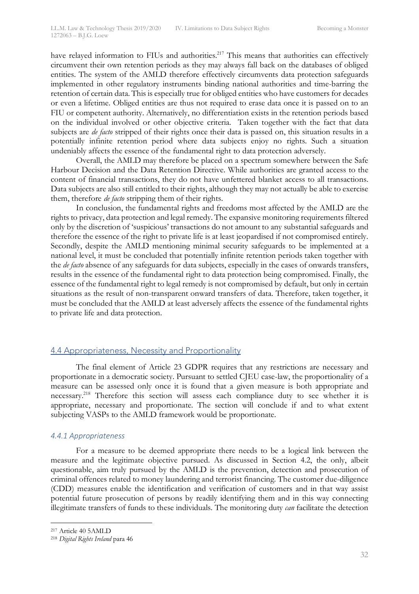have relayed information to FIUs and authorities.<sup>217</sup> This means that authorities can effectively circumvent their own retention periods as they may always fall back on the databases of obliged entities. The system of the AMLD therefore effectively circumvents data protection safeguards implemented in other regulatory instruments binding national authorities and time-barring the retention of certain data. This is especially true for obliged entities who have customers for decades or even a lifetime. Obliged entities are thus not required to erase data once it is passed on to an FIU or competent authority. Alternatively, no differentiation exists in the retention periods based on the individual involved or other objective criteria. Taken together with the fact that data subjects are *de facto* stripped of their rights once their data is passed on, this situation results in a potentially infinite retention period where data subjects enjoy no rights. Such a situation undeniably affects the essence of the fundamental right to data protection adversely.

Overall, the AMLD may therefore be placed on a spectrum somewhere between the Safe Harbour Decision and the Data Retention Directive. While authorities are granted access to the content of financial transactions, they do not have unfettered blanket access to all transactions. Data subjects are also still entitled to their rights, although they may not actually be able to exercise them, therefore *de facto* stripping them of their rights.

In conclusion, the fundamental rights and freedoms most affected by the AMLD are the rights to privacy, data protection and legal remedy. The expansive monitoring requirements filtered only by the discretion of 'suspicious' transactions do not amount to any substantial safeguards and therefore the essence of the right to private life is at least jeopardised if not compromised entirely. Secondly, despite the AMLD mentioning minimal security safeguards to be implemented at a national level, it must be concluded that potentially infinite retention periods taken together with the *de facto* absence of any safeguards for data subjects, especially in the cases of onwards transfers, results in the essence of the fundamental right to data protection being compromised. Finally, the essence of the fundamental right to legal remedy is not compromised by default, but only in certain situations as the result of non-transparent onward transfers of data. Therefore, taken together, it must be concluded that the AMLD at least adversely affects the essence of the fundamental rights to private life and data protection.

#### 4.4 Appropriateness, Necessity and Proportionality

The final element of Article 23 GDPR requires that any restrictions are necessary and proportionate in a democratic society. Pursuant to settled CJEU case-law, the proportionality of a measure can be assessed only once it is found that a given measure is both appropriate and necessary.218 Therefore this section will assess each compliance duty to see whether it is appropriate, necessary and proportionate. The section will conclude if and to what extent subjecting VASPs to the AMLD framework would be proportionate.

#### *4.4.1 Appropriateness*

For a measure to be deemed appropriate there needs to be a logical link between the measure and the legitimate objective pursued. As discussed in Section 4.2, the only, albeit questionable, aim truly pursued by the AMLD is the prevention, detection and prosecution of criminal offences related to money laundering and terrorist financing. The customer due-diligence (CDD) measures enable the identification and verification of customers and in that way assist potential future prosecution of persons by readily identifying them and in this way connecting illegitimate transfers of funds to these individuals. The monitoring duty *can* facilitate the detection

 <sup>217</sup> Article 40 5AMLD

<sup>218</sup> *Digital Rights Ireland* para 46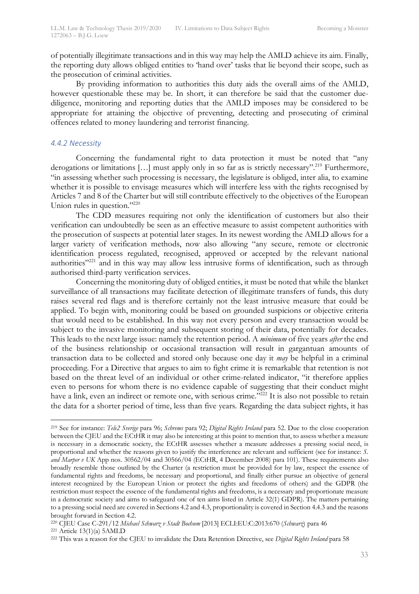of potentially illegitimate transactions and in this way may help the AMLD achieve its aim. Finally, the reporting duty allows obliged entities to 'hand over' tasks that lie beyond their scope, such as the prosecution of criminal activities.

By providing information to authorities this duty aids the overall aims of the AMLD, however questionable these may be. In short, it can therefore be said that the customer duediligence, monitoring and reporting duties that the AMLD imposes may be considered to be appropriate for attaining the objective of preventing, detecting and prosecuting of criminal offences related to money laundering and terrorist financing.

#### *4.4.2 Necessity*

Concerning the fundamental right to data protection it must be noted that "any derogations or limitations [...] must apply only in so far as is strictly necessary".<sup>219</sup> Furthermore, "in assessing whether such processing is necessary, the legislature is obliged, inter alia, to examine whether it is possible to envisage measures which will interfere less with the rights recognised by Articles 7 and 8 of the Charter but will still contribute effectively to the objectives of the European Union rules in question."<sup>220</sup>

The CDD measures requiring not only the identification of customers but also their verification can undoubtedly be seen as an effective measure to assist competent authorities with the prosecution of suspects at potential later stages. In its newest wording the AMLD allows for a larger variety of verification methods, now also allowing "any secure, remote or electronic identification process regulated, recognised, approved or accepted by the relevant national authorities"221 and in this way may allow less intrusive forms of identification, such as through authorised third-party verification services.

Concerning the monitoring duty of obliged entities, it must be noted that while the blanket surveillance of all transactions may facilitate detection of illegitimate transfers of funds, this duty raises several red flags and is therefore certainly not the least intrusive measure that could be applied. To begin with, monitoring could be based on grounded suspicions or objective criteria that would need to be established. In this way not every person and every transaction would be subject to the invasive monitoring and subsequent storing of their data, potentially for decades. This leads to the next large issue: namely the retention period. A *minimum* of five years *after* the end of the business relationship or occasional transaction will result in gargantuan amounts of transaction data to be collected and stored only because one day it *may* be helpful in a criminal proceeding. For a Directive that argues to aim to fight crime it is remarkable that retention is not based on the threat level of an individual or other crime-related indicator, "it therefore applies even to persons for whom there is no evidence capable of suggesting that their conduct might have a link, even an indirect or remote one, with serious crime."<sup>222</sup> It is also not possible to retain the data for a shorter period of time, less than five years. Regarding the data subject rights, it has

 <sup>219</sup> See for instance: *Tele2 Sverige* para 96; *Schrems* para 92; *Digital Rights Ireland* para 52. Due to the close cooperation between the CJEU and the ECtHR it may also be interesting at this point to mention that, to assess whether a measure is necessary in a democratic society, the ECtHR assesses whether a measure addresses a pressing social need, is proportional and whether the reasons given to justify the interference are relevant and sufficient (see for instance: *S. and Marper v UK* App nos. 30562/04 and 30566/04 (ECtHR, 4 December 2008) para 101). These requirements also broadly resemble those outlined by the Charter (a restriction must be provided for by law, respect the essence of fundamental rights and freedoms, be necessary and proportional, and finally either pursue an objective of general interest recognized by the European Union or protect the rights and freedoms of others) and the GDPR (the restriction must respect the essence of the fundamental rights and freedoms, is a necessary and proportionate measure in a democratic society and aims to safeguard one of ten aims listed in Article 32(1) GDPR). The matters pertaining to a pressing social need are covered in Sections 4.2 and 4.3, proportionality is covered in Section 4.4.3 and the reasons brought forward in Section 4.2.

<sup>220</sup> CJEU Case C-291/12 *Michael Schwarz v Stadt Bochum* [2013] ECLI:EU:C:2013:670 (*Schwarz*) para 46

 $221$  Article  $13(1)(a)$  5AMLD

<sup>222</sup> This was a reason for the CJEU to invalidate the Data Retention Directive, see *Digital Rights Ireland* para 58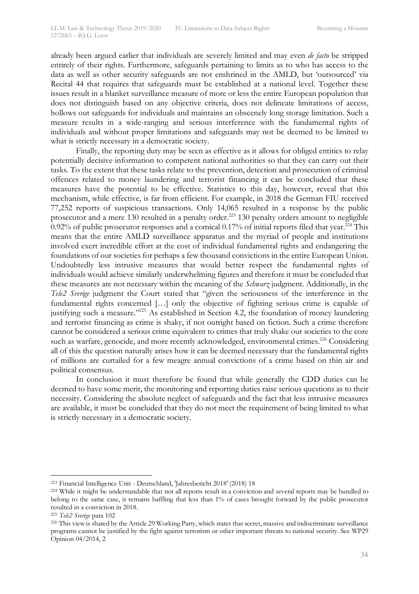already been argued earlier that individuals are severely limited and may even *de facto* be stripped entirely of their rights. Furthermore, safeguards pertaining to limits as to who has access to the data as well as other security safeguards are not enshrined in the AMLD, but 'outsourced' via Recital 44 that requires that safeguards must be established at a national level. Together these issues result in a blanket surveillance measure of more or less the entire European population that does not distinguish based on any objective criteria, does not delineate limitations of access, hollows out safeguards for individuals and maintains an obscenely long storage limitation. Such a measure results in a wide-ranging and serious interference with the fundamental rights of individuals and without proper limitations and safeguards may not be deemed to be limited to what is strictly necessary in a democratic society.

Finally, the reporting duty may be seen as effective as it allows for obliged entities to relay potentially decisive information to competent national authorities so that they can carry out their tasks. To the extent that these tasks relate to the prevention, detection and prosecution of criminal offences related to money laundering and terrorist financing it can be concluded that these measures have the potential to be effective. Statistics to this day, however, reveal that this mechanism, while effective, is far from efficient. For example, in 2018 the German FIU received 77,252 reports of suspicious transactions. Only 14,065 resulted in a response by the public prosecutor and a mere 130 resulted in a penalty order.<sup>223</sup> 130 penalty orders amount to negligible  $0.92\%$  of public prosecutor responses and a comical 0.17% of initial reports filed that year.<sup>224</sup> This means that the entire AMLD surveillance apparatus and the myriad of people and institutions involved exert incredible effort at the cost of individual fundamental rights and endangering the foundations of our societies for perhaps a few thousand convictions in the entire European Union. Undoubtedly less intrusive measures that would better respect the fundamental rights of individuals would achieve similarly underwhelming figures and therefore it must be concluded that these measures are not necessary within the meaning of the *Schwarz* judgment. Additionally, in the *Tele2 Sverige* judgment the Court stated that "given the seriousness of the interference in the fundamental rights concerned […] only the objective of fighting serious crime is capable of justifying such a measure."<sup>225</sup> As established in Section 4.2, the foundation of money laundering and terrorist financing as crime is shaky, if not outright based on fiction. Such a crime therefore cannot be considered a serious crime equivalent to crimes that truly shake our societies to the core such as warfare, genocide, and more recently acknowledged, environmental crimes.<sup>226</sup> Considering all of this the question naturally arises how it can be deemed necessary that the fundamental rights of millions are curtailed for a few meagre annual convictions of a crime based on thin air and political consensus.

In conclusion it must therefore be found that while generally the CDD duties can be deemed to have some merit, the monitoring and reporting duties raise serious questions as to their necessity. Considering the absolute neglect of safeguards and the fact that less intrusive measures are available, it must be concluded that they do not meet the requirement of being limited to what is strictly necessary in a democratic society.

 <sup>223</sup> Financial Intelligence Unit - Deutschland, 'Jahresbericht 2018' (2018) 18

<sup>&</sup>lt;sup>224</sup> While it might be understandable that not all reports result in a conviction and several reports may be bundled to belong to the same case, it remains baffling that less than 1% of cases brought forward by the public prosecutor resulted in a conviction in 2018.

<sup>225</sup> *Tele2 Sverige* para 102

<sup>226</sup> This view is shared by the Article 29 Working Party, which states that secret, massive and indiscriminate surveillance programs cannot be justified by the fight against terrorism or other important threats to national security. See WP29 Opinion 04/2014, 2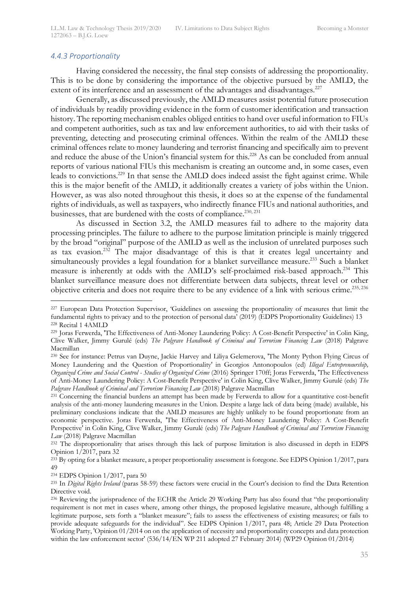#### *4.4.3 Proportionality*

Having considered the necessity, the final step consists of addressing the proportionality. This is to be done by considering the importance of the objective pursued by the AMLD, the extent of its interference and an assessment of the advantages and disadvantages.<sup>227</sup>

Generally, as discussed previously, the AMLD measures assist potential future prosecution of individuals by readily providing evidence in the form of customer identification and transaction history. The reporting mechanism enables obliged entities to hand over useful information to FIUs and competent authorities, such as tax and law enforcement authorities, to aid with their tasks of preventing, detecting and prosecuting criminal offences. Within the realm of the AMLD these criminal offences relate to money laundering and terrorist financing and specifically aim to prevent and reduce the abuse of the Union's financial system for this.<sup>228</sup> As can be concluded from annual reports of various national FIUs this mechanism is creating an outcome and, in some cases, even leads to convictions.<sup>229</sup> In that sense the AMLD does indeed assist the fight against crime. While this is the major benefit of the AMLD, it additionally creates a variety of jobs within the Union. However, as was also noted throughout this thesis, it does so at the expense of the fundamental rights of individuals, as well as taxpayers, who indirectly finance FIUs and national authorities, and businesses, that are burdened with the costs of compliance.<sup>230, 231</sup>

As discussed in Section 3.2, the AMLD measures fail to adhere to the majority data processing principles. The failure to adhere to the purpose limitation principle is mainly triggered by the broad "original" purpose of the AMLD as well as the inclusion of unrelated purposes such as tax evasion.<sup>232</sup> The major disadvantage of this is that it creates legal uncertainty and simultaneously provides a legal foundation for a blanket surveillance measure.<sup>233</sup> Such a blanket measure is inherently at odds with the AMLD's self-proclaimed risk-based approach.<sup>234</sup> This blanket surveillance measure does not differentiate between data subjects, threat level or other objective criteria and does not require there to be any evidence of a link with serious crime.235, 236

<sup>&</sup>lt;sup>227</sup> European Data Protection Supervisor, 'Guidelines on assessing the proportionality of measures that limit the fundamental rights to privacy and to the protection of personal data' (2019) (EDPS Proportionality Guidelines) 13 <sup>228</sup> Recital 1 4AMLD

<sup>229</sup> Joras Ferwerda, 'The Effectiveness of Anti-Money Laundering Policy: A Cost-Benefit Perspective' in Colin King, Clive Walker, Jimmy Gurulé (eds) *The Palgrave Handbook of Criminal and Terrorism Financing Law* (2018) Palgrave Macmillan

<sup>230</sup> See for instance: Petrus van Duyne, Jackie Harvey and Liliya Gelemerova, 'The Monty Python Flying Circus of Money Laundering and the Question of Proportionality' in Georgios Antonopoulos (ed) *Illegal Entrepreneurship, Organized Crime and Social Control - Studies of Organized Crime* (2016) Springer 170ff; Joras Ferwerda, 'The Effectiveness of Anti-Money Laundering Policy: A Cost-Benefit Perspective' in Colin King, Clive Walker, Jimmy Gurulé (eds) *The Palgrave Handbook of Criminal and Terrorism Financing Law* (2018) Palgrave Macmillan

<sup>231</sup> Concerning the financial burdens an attempt has been made by Ferwerda to allow for a quantitative cost-benefit analysis of the anti-money laundering measures in the Union. Despite a large lack of data being (made) available, his preliminary conclusions indicate that the AMLD measures are highly unlikely to be found proportionate from an economic perspective. Joras Ferwerda, 'The Effectiveness of Anti-Money Laundering Policy: A Cost-Benefit Perspective' in Colin King, Clive Walker, Jimmy Gurulé (eds) *The Palgrave Handbook of Criminal and Terrorism Financing Law* (2018) Palgrave Macmillan

<sup>&</sup>lt;sup>232</sup> The disproportionality that arises through this lack of purpose limitation is also discussed in depth in EDPS Opinion 1/2017, para 32

<sup>&</sup>lt;sup>233</sup> By opting for a blanket measure, a proper proportionality assessment is foregone. See EDPS Opinion 1/2017, para 49

<sup>234</sup> EDPS Opinion 1/2017, para 50

<sup>235</sup> In *Digital Rights Ireland* (paras 58-59) these factors were crucial in the Court's decision to find the Data Retention Directive void.

<sup>&</sup>lt;sup>236</sup> Reviewing the jurisprudence of the ECHR the Article 29 Working Party has also found that "the proportionality requirement is not met in cases where, among other things, the proposed legislative measure, although fulfilling a legitimate purpose, sets forth a "blanket measure"; fails to assess the effectiveness of existing measures; or fails to provide adequate safeguards for the individual". See EDPS Opinion 1/2017, para 48; Article 29 Data Protection Working Party, 'Opinion 01/2014 on on the application of necessity and proportionality concepts and data protection within the law enforcement sector' (536/14/EN WP 211 adopted 27 February 2014) (WP29 Opinion 01/2014)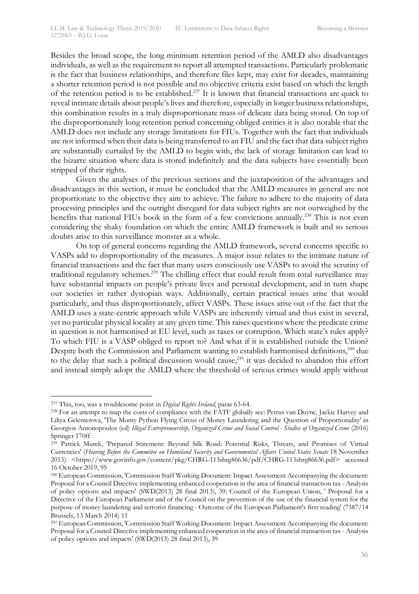Besides the broad scope, the long minimum retention period of the AMLD also disadvantages individuals, as well as the requirement to report all attempted transactions. Particularly problematic is the fact that business relationships, and therefore files kept, may exist for decades, maintaining a shorter retention period is not possible and no objective criteria exist based on which the length of the retention period is to be established.<sup>237</sup> It is known that financial transactions are quick to reveal intimate details about people's lives and therefore, especially in longer business relationships, this combination results in a truly disproportionate mass of delicate data being stored. On top of the disproportionately long retention period concerning obliged entities it is also notable that the AMLD does not include any storage limitations for FIUs. Together with the fact that individuals are not informed when their data is being transferred to an FIU and the fact that data subject rights are substantially curtailed by the AMLD to begin with, the lack of storage limitation can lead to the bizarre situation where data is stored indefinitely and the data subjects have essentially been stripped of their rights.

Given the analyses of the previous sections and the juxtaposition of the advantages and disadvantages in this section, it must be concluded that the AMLD measures in general are not proportionate to the objective they aim to achieve. The failure to adhere to the majority of data processing principles and the outright disregard for data subject rights are not outweighed by the benefits that national FIUs book in the form of a few convictions annually.<sup>238</sup> This is not even considering the shaky foundation on which the entire AMLD framework is built and so serious doubts arise to this surveillance monster as a whole.

On top of general concerns regarding the AMLD framework, several concerns specific to VASPs add to disproportionality of the measures. A major issue relates to the intimate nature of financial transactions and the fact that many users consciously use VASPs to avoid the scrutiny of traditional regulatory schemes.239 The chilling effect that could result from total surveillance may have substantial impacts on people's private lives and personal development, and in turn shape our societies in rather dystopian ways. Additionally, certain practical issues arise that would particularly, and thus disproportionately, affect VASPs. These issues arise out of the fact that the AMLD uses a state-centric approach while VASPs are inherently virtual and thus exist in several, yet no particular physical locality at any given time. This raises questions where the predicate crime in question is not harmonised at EU level, such as taxes or corruption. Which state's rules apply? To which FIU is a VASP obliged to report to? And what if it is established outside the Union? Despite both the Commission and Parliament wanting to establish harmonised definitions, $240$  due to the delay that such a political discussion would cause,<sup>241</sup> it was decided to abandon this effort and instead simply adopt the AMLD where the threshold of serious crimes would apply without

 <sup>237</sup> This, too, was a troublesome point in *Digital Rights Ireland*, paras 63-64.

<sup>&</sup>lt;sup>238</sup> For an attempt to map the costs of compliance with the FATF globally see: Petrus van Duyne, Jackie Harvey and Liliya Gelemerova, 'The Monty Python Flying Circus of Money Laundering and the Question of Proportionality' in Georgios Antonopoulos (ed) *Illegal Entrepreneurship, Organized Crime and Social Control - Studies of Organized Crime* (2016) Springer 170ff

<sup>&</sup>lt;sup>239</sup> Patrick Murck, 'Prepared Statement: Beyond Silk Road: Potential Risks, Threats, and Promises of Virtual Currencies' (*Hearing Before the Committee on Homeland Security and Governmental Affairs United States Senate* 18 November 2013) <https://www.govinfo.gov/content/pkg/CHRG-113shrg86636/pdf/CHRG-113shrg86636.pdf> accessed 16 October 2019, 95

<sup>240</sup> European Commission, 'Commission Staff Working Document: Impact Assessment Accompanying the document: Proposal for a Council Directive implementing enhanced cooperation in the area of financial transaction tax - Analysis of policy options and impacts' (SWD(2013) 28 final 2013), 39; Council of the European Union, ' Proposal for a Directive of the European Parliament and of the Council on the prevention of the use of the financial system for the purpose of money laundering and terrorist financing - Outcome of the European Parliament's first reading' (7387/14 Brussels, 13 March 2014) 11

<sup>241</sup> European Commission, 'Commission Staff Working Document: Impact Assessment Accompanying the document: Proposal for a Council Directive implementing enhanced cooperation in the area of financial transaction tax - Analysis of policy options and impacts' (SWD(2013) 28 final 2013), 39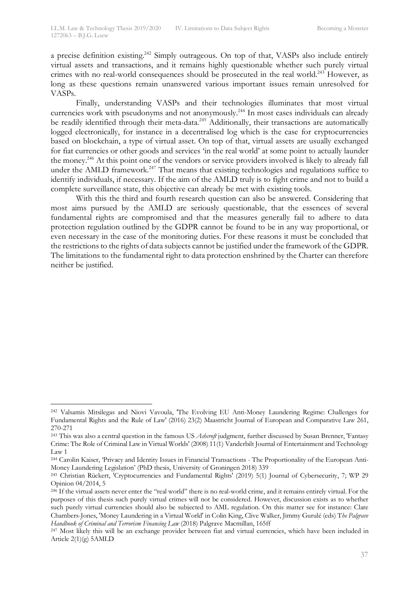a precise definition existing.<sup>242</sup> Simply outrageous. On top of that, VASPs also include entirely virtual assets and transactions, and it remains highly questionable whether such purely virtual crimes with no real-world consequences should be prosecuted in the real world.<sup>243</sup> However, as long as these questions remain unanswered various important issues remain unresolved for VASPs.

Finally, understanding VASPs and their technologies illuminates that most virtual currencies work with pseudonyms and not anonymously. <sup>244</sup> In most cases individuals can already be readily identified through their meta-data.<sup>245</sup> Additionally, their transactions are automatically logged electronically, for instance in a decentralised log which is the case for cryptocurrencies based on blockchain, a type of virtual asset. On top of that, virtual assets are usually exchanged for fiat currencies or other goods and services 'in the real world' at some point to actually launder the money.<sup>246</sup> At this point one of the vendors or service providers involved is likely to already fall under the AMLD framework.<sup>247</sup> That means that existing technologies and regulations suffice to identify individuals, if necessary. If the aim of the AMLD truly is to fight crime and not to build a complete surveillance state, this objective can already be met with existing tools.

With this the third and fourth research question can also be answered. Considering that most aims pursued by the AMLD are seriously questionable, that the essences of several fundamental rights are compromised and that the measures generally fail to adhere to data protection regulation outlined by the GDPR cannot be found to be in any way proportional, or even necessary in the case of the monitoring duties. For these reasons it must be concluded that the restrictions to the rights of data subjects cannot be justified under the framework of the GDPR. The limitations to the fundamental right to data protection enshrined by the Charter can therefore neither be justified.

 <sup>242</sup> Valsamis Mitsilegas and Niovi Vavoula, 'The Evolving EU Anti-Money Laundering Regime: Challenges for Fundamental Rights and the Rule of Law' (2016) 23(2) Maastricht Journal of European and Comparative Law 261, 270-271

<sup>243</sup> This was also a central question in the famous US *Ashcroft* judgment, further discussed by Susan Brenner, 'Fantasy Crime: The Role of Criminal Law in Virtual Worlds' (2008) 11(1) Vanderbilt Journal of Entertainment and Technology Law 1

<sup>244</sup> Carolin Kaiser, 'Privacy and Identity Issues in Financial Transactions - The Proportionality of the European Anti-Money Laundering Legislation' (PhD thesis, University of Groningen 2018) 339

<sup>245</sup> Christian Rückert, 'Cryptocurrencies and Fundamental Rights' (2019) 5(1) Journal of Cybersecurity, 7; WP 29 Opinion 04/2014, 5

<sup>&</sup>lt;sup>246</sup> If the virtual assets never enter the "real world" there is no real-world crime, and it remains entirely virtual. For the purposes of this thesis such purely virtual crimes will not be considered. However, discussion exists as to whether such purely virtual currencies should also be subjected to AML regulation. On this matter see for instance: Clare Chambers-Jones, 'Money Laundering in a Virtual World' in Colin King, Clive Walker, Jimmy Gurulé (eds) T*he Palgrave Handbook of Criminal and Terrorism Financing Law* (2018) Palgrave Macmillan, 165ff

<sup>&</sup>lt;sup>247</sup> Most likely this will be an exchange provider between fiat and virtual currencies, which have been included in Article  $2(1)(g)$  5AMLD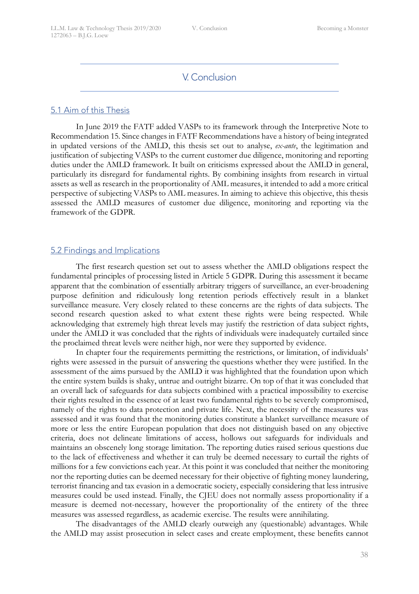## V. Conclusion

#### 5.1 Aim of this Thesis

In June 2019 the FATF added VASPs to its framework through the Interpretive Note to Recommendation 15. Since changes in FATF Recommendations have a history of being integrated in updated versions of the AMLD, this thesis set out to analyse, *ex-ante*, the legitimation and justification of subjecting VASPs to the current customer due diligence, monitoring and reporting duties under the AMLD framework. It built on criticisms expressed about the AMLD in general, particularly its disregard for fundamental rights. By combining insights from research in virtual assets as well as research in the proportionality of AML measures, it intended to add a more critical perspective of subjecting VASPs to AML measures. In aiming to achieve this objective, this thesis assessed the AMLD measures of customer due diligence, monitoring and reporting via the framework of the GDPR.

#### 5.2 Findings and Implications

The first research question set out to assess whether the AMLD obligations respect the fundamental principles of processing listed in Article 5 GDPR. During this assessment it became apparent that the combination of essentially arbitrary triggers of surveillance, an ever-broadening purpose definition and ridiculously long retention periods effectively result in a blanket surveillance measure. Very closely related to these concerns are the rights of data subjects. The second research question asked to what extent these rights were being respected. While acknowledging that extremely high threat levels may justify the restriction of data subject rights, under the AMLD it was concluded that the rights of individuals were inadequately curtailed since the proclaimed threat levels were neither high, nor were they supported by evidence.

In chapter four the requirements permitting the restrictions, or limitation, of individuals' rights were assessed in the pursuit of answering the questions whether they were justified. In the assessment of the aims pursued by the AMLD it was highlighted that the foundation upon which the entire system builds is shaky, untrue and outright bizarre. On top of that it was concluded that an overall lack of safeguards for data subjects combined with a practical impossibility to exercise their rights resulted in the essence of at least two fundamental rights to be severely compromised, namely of the rights to data protection and private life. Next, the necessity of the measures was assessed and it was found that the monitoring duties constitute a blanket surveillance measure of more or less the entire European population that does not distinguish based on any objective criteria, does not delineate limitations of access, hollows out safeguards for individuals and maintains an obscenely long storage limitation. The reporting duties raised serious questions due to the lack of effectiveness and whether it can truly be deemed necessary to curtail the rights of millions for a few convictions each year. At this point it was concluded that neither the monitoring nor the reporting duties can be deemed necessary for their objective of fighting money laundering, terrorist financing and tax evasion in a democratic society, especially considering that less intrusive measures could be used instead. Finally, the CJEU does not normally assess proportionality if a measure is deemed not-necessary, however the proportionality of the entirety of the three measures was assessed regardless, as academic exercise. The results were annihilating.

The disadvantages of the AMLD clearly outweigh any (questionable) advantages. While the AMLD may assist prosecution in select cases and create employment, these benefits cannot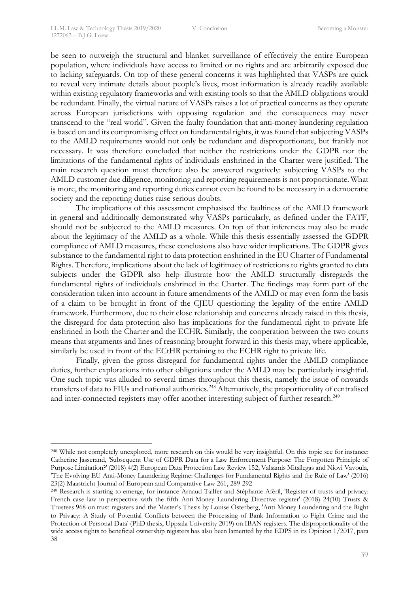be seen to outweigh the structural and blanket surveillance of effectively the entire European population, where individuals have access to limited or no rights and are arbitrarily exposed due to lacking safeguards. On top of these general concerns it was highlighted that VASPs are quick to reveal very intimate details about people's lives, most information is already readily available within existing regulatory frameworks and with existing tools so that the AMLD obligations would be redundant. Finally, the virtual nature of VASPs raises a lot of practical concerns as they operate across European jurisdictions with opposing regulation and the consequences may never transcend to the "real world". Given the faulty foundation that anti-money laundering regulation is based on and its compromising effect on fundamental rights, it was found that subjecting VASPs to the AMLD requirements would not only be redundant and disproportionate, but frankly not necessary. It was therefore concluded that neither the restrictions under the GDPR nor the limitations of the fundamental rights of individuals enshrined in the Charter were justified. The main research question must therefore also be answered negatively: subjecting VASPs to the AMLD customer due diligence, monitoring and reporting requirements is not proportionate. What is more, the monitoring and reporting duties cannot even be found to be necessary in a democratic society and the reporting duties raise serious doubts.

The implications of this assessment emphasised the faultiness of the AMLD framework in general and additionally demonstrated why VASPs particularly, as defined under the FATF, should not be subjected to the AMLD measures. On top of that inferences may also be made about the legitimacy of the AMLD as a whole. While this thesis essentially assessed the GDPR compliance of AMLD measures, these conclusions also have wider implications. The GDPR gives substance to the fundamental right to data protection enshrined in the EU Charter of Fundamental Rights. Therefore, implications about the lack of legitimacy of restrictions to rights granted to data subjects under the GDPR also help illustrate how the AMLD structurally disregards the fundamental rights of individuals enshrined in the Charter. The findings may form part of the consideration taken into account in future amendments of the AMLD or may even form the basis of a claim to be brought in front of the CJEU questioning the legality of the entire AMLD framework. Furthermore, due to their close relationship and concerns already raised in this thesis, the disregard for data protection also has implications for the fundamental right to private life enshrined in both the Charter and the ECHR. Similarly, the cooperation between the two courts means that arguments and lines of reasoning brought forward in this thesis may, where applicable, similarly be used in front of the ECtHR pertaining to the ECHR right to private life.

Finally, given the gross disregard for fundamental rights under the AMLD compliance duties, further explorations into other obligations under the AMLD may be particularly insightful. One such topic was alluded to several times throughout this thesis, namely the issue of onwards transfers of data to FIUs and national authorities.<sup>248</sup> Alternatively, the proportionality of centralised and inter-connected registers may offer another interesting subject of further research.<sup>249</sup>

 <sup>248</sup> While not completely unexplored, more research on this would be very insightful. On this topic see for instance: Catherine Jasserand, 'Subsequent Use of GDPR Data for a Law Enforcement Purpose: The Forgotten Principle of Purpose Limitation?' (2018) 4(2) European Data Protection Law Review 152; Valsamis Mitsilegas and Niovi Vavoula, 'The Evolving EU Anti-Money Laundering Regime: Challenges for Fundamental Rights and the Rule of Law' (2016) 23(2) Maastricht Journal of European and Comparative Law 261, 289-292

<sup>&</sup>lt;sup>249</sup> Research is starting to emerge, for instance Arnaud Tailfer and Stéphanie Aféril, 'Register of trusts and privacy: French case law in perspective with the fifth Anti-Money Laundering Directive register' (2018) 24(10) Trusts & Trustees 968 on trust registers and the Master's Thesis by Louise Österberg, 'Anti-Money Laundering and the Right to Privacy: A Study of Potential Conflicts between the Processing of Bank Information to Fight Crime and the Protection of Personal Data' (PhD thesis, Uppsala University 2019) on IBAN registers. The disproportionality of the wide access rights to beneficial ownership registers has also been lamented by the EDPS in its Opinion 1/2017, para 38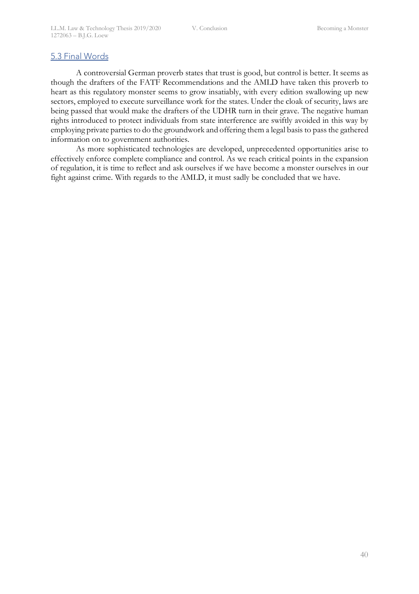## 5.3 Final Words

A controversial German proverb states that trust is good, but control is better. It seems as though the drafters of the FATF Recommendations and the AMLD have taken this proverb to heart as this regulatory monster seems to grow insatiably, with every edition swallowing up new sectors, employed to execute surveillance work for the states. Under the cloak of security, laws are being passed that would make the drafters of the UDHR turn in their grave. The negative human rights introduced to protect individuals from state interference are swiftly avoided in this way by employing private parties to do the groundwork and offering them a legal basis to pass the gathered information on to government authorities.

As more sophisticated technologies are developed, unprecedented opportunities arise to effectively enforce complete compliance and control. As we reach critical points in the expansion of regulation, it is time to reflect and ask ourselves if we have become a monster ourselves in our fight against crime. With regards to the AMLD, it must sadly be concluded that we have.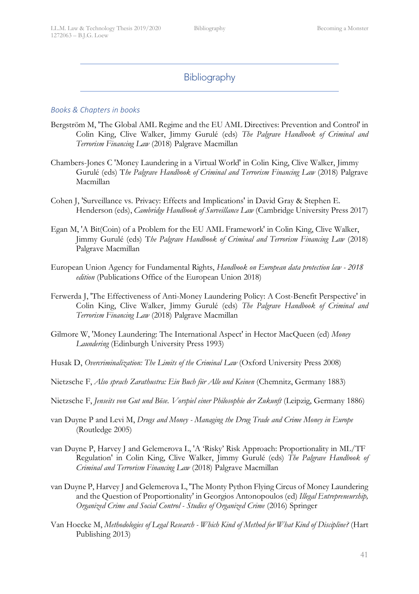## Bibliography

## *Books & Chapters in books*

- Bergström M, 'The Global AML Regime and the EU AML Directives: Prevention and Control' in Colin King, Clive Walker, Jimmy Gurulé (eds) *The Palgrave Handbook of Criminal and Terrorism Financing Law* (2018) Palgrave Macmillan
- Chambers-Jones C 'Money Laundering in a Virtual World' in Colin King, Clive Walker, Jimmy Gurulé (eds) T*he Palgrave Handbook of Criminal and Terrorism Financing Law* (2018) Palgrave Macmillan
- Cohen J, 'Surveillance vs. Privacy: Effects and Implications' in David Gray & Stephen E. Henderson (eds), *Cambridge Handbook of Surveillance Law* (Cambridge University Press 2017)
- Egan M, 'A Bit(Coin) of a Problem for the EU AML Framework' in Colin King, Clive Walker, Jimmy Gurulé (eds) T*he Palgrave Handbook of Criminal and Terrorism Financing Law* (2018) Palgrave Macmillan
- European Union Agency for Fundamental Rights, *Handbook on European data protection law - 2018 edition* (Publications Office of the European Union 2018)
- Ferwerda J, 'The Effectiveness of Anti-Money Laundering Policy: A Cost-Benefit Perspective' in Colin King, Clive Walker, Jimmy Gurulé (eds) *The Palgrave Handbook of Criminal and Terrorism Financing Law* (2018) Palgrave Macmillan
- Gilmore W, 'Money Laundering: The International Aspect' in Hector MacQueen (ed) *Money Laundering* (Edinburgh University Press 1993)
- Husak D, *Overcriminalization: The Limits of the Criminal Law* (Oxford University Press 2008)
- Nietzsche F, *Also sprach Zarathustra: Ein Buch für Alle und Keinen* (Chemnitz, Germany 1883)
- Nietzsche F, *Jenseits von Gut und Böse. Vorspiel einer Philosophie der Zukunft* (Leipzig, Germany 1886)
- van Duyne P and Levi M, *Drugs and Money - Managing the Drug Trade and Crime Money in Europe* (Routledge 2005)
- van Duyne P, Harvey J and Gelemerova L, 'A 'Risky' Risk Approach: Proportionality in ML/TF Regulation' in Colin King, Clive Walker, Jimmy Gurulé (eds) *The Palgrave Handbook of Criminal and Terrorism Financing Law* (2018) Palgrave Macmillan
- van Duyne P, Harvey J and Gelemerova L, 'The Monty Python Flying Circus of Money Laundering and the Question of Proportionality' in Georgios Antonopoulos (ed) *Illegal Entrepreneurship, Organized Crime and Social Control - Studies of Organized Crime* (2016) Springer
- Van Hoecke M, *Methodologies of Legal Research - Which Kind of Method for What Kind of Discipline?* (Hart Publishing 2013)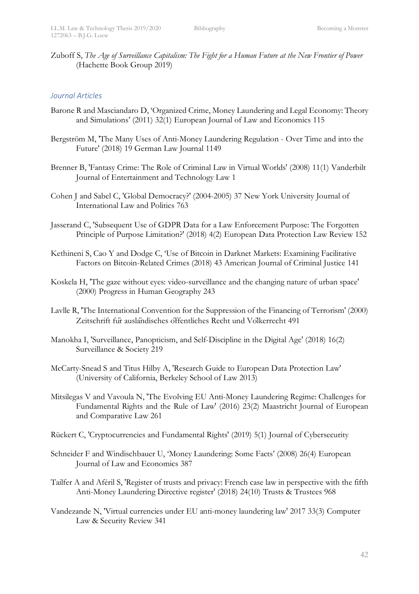Zuboff S, *The Age of Surveillance Capitalism: The Fight for a Human Future at the New Frontier of Power*  (Hachette Book Group 2019)

## *Journal Articles*

- Barone R and Masciandaro D, 'Organized Crime, Money Laundering and Legal Economy: Theory and Simulations' (2011) 32(1) European Journal of Law and Economics 115
- Bergström M, 'The Many Uses of Anti-Money Laundering Regulation Over Time and into the Future' (2018) 19 German Law Journal 1149
- Brenner B, 'Fantasy Crime: The Role of Criminal Law in Virtual Worlds' (2008) 11(1) Vanderbilt Journal of Entertainment and Technology Law 1
- Cohen J and Sabel C, 'Global Democracy?' (2004-2005) 37 New York University Journal of International Law and Politics 763
- Jasserand C, 'Subsequent Use of GDPR Data for a Law Enforcement Purpose: The Forgotten Principle of Purpose Limitation?' (2018) 4(2) European Data Protection Law Review 152
- Kethineni S, Cao Y and Dodge C, 'Use of Bitcoin in Darknet Markets: Examining Facilitative Factors on Bitcoin-Related Crimes (2018) 43 American Journal of Criminal Justice 141
- Koskela H, 'The gaze without eyes: video-surveillance and the changing nature of urban space' (2000) Progress in Human Geography 243
- Lavlle R, 'The International Convention for the Suppression of the Financing of Terrorism' (2000) Zeitschrift für ausländisches offentliches Recht und Volkerrecht 491
- Manokha I, 'Surveillance, Panopticism, and Self-Discipline in the Digital Age' (2018) 16(2) Surveillance & Society 219
- McCarty-Snead S and Titus Hilby A, 'Research Guide to European Data Protection Law' (University of California, Berkeley School of Law 2013)
- Mitsilegas V and Vavoula N, 'The Evolving EU Anti-Money Laundering Regime: Challenges for Fundamental Rights and the Rule of Law' (2016) 23(2) Maastricht Journal of European and Comparative Law 261
- Rückert C, 'Cryptocurrencies and Fundamental Rights' (2019) 5(1) Journal of Cybersecurity
- Schneider F and Windischbauer U, 'Money Laundering: Some Facts' (2008) 26(4) European Journal of Law and Economics 387
- Tailfer A and Aféril S, 'Register of trusts and privacy: French case law in perspective with the fifth Anti-Money Laundering Directive register' (2018) 24(10) Trusts & Trustees 968
- Vandezande N, 'Virtual currencies under EU anti-money laundering law' 2017 33(3) Computer Law & Security Review 341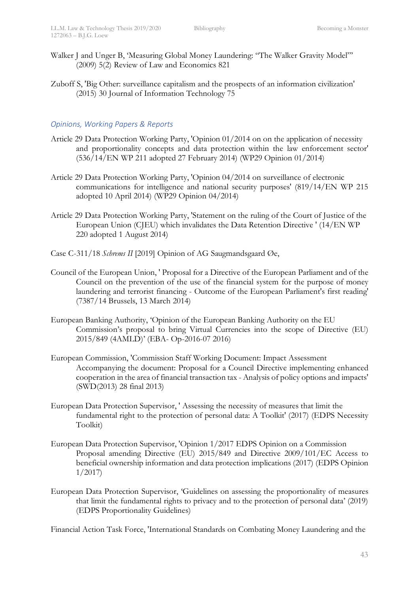- Walker J and Unger B, 'Measuring Global Money Laundering: "The Walker Gravity Model"' (2009) 5(2) Review of Law and Economics 821
- Zuboff S, 'Big Other: surveillance capitalism and the prospects of an information civilization' (2015) 30 Journal of Information Technology 75

## *Opinions, Working Papers & Reports*

- Article 29 Data Protection Working Party, 'Opinion 01/2014 on on the application of necessity and proportionality concepts and data protection within the law enforcement sector' (536/14/EN WP 211 adopted 27 February 2014) (WP29 Opinion 01/2014)
- Article 29 Data Protection Working Party, 'Opinion 04/2014 on surveillance of electronic communications for intelligence and national security purposes' (819/14/EN WP 215 adopted 10 April 2014) (WP29 Opinion 04/2014)
- Article 29 Data Protection Working Party, 'Statement on the ruling of the Court of Justice of the European Union (CJEU) which invalidates the Data Retention Directive ' (14/EN WP 220 adopted 1 August 2014)
- Case C-311/18 *Schrems II* [2019] Opinion of AG Saugmandsgaard Øe,
- Council of the European Union, ' Proposal for a Directive of the European Parliament and of the Council on the prevention of the use of the financial system for the purpose of money laundering and terrorist financing - Outcome of the European Parliament's first reading' (7387/14 Brussels, 13 March 2014)
- European Banking Authority, 'Opinion of the European Banking Authority on the EU Commission's proposal to bring Virtual Currencies into the scope of Directive (EU) 2015/849 (4AMLD)' (EBA- Op-2016-07 2016)
- European Commission, 'Commission Staff Working Document: Impact Assessment Accompanying the document: Proposal for a Council Directive implementing enhanced cooperation in the area of financial transaction tax - Analysis of policy options and impacts' (SWD(2013) 28 final 2013)
- European Data Protection Supervisor, ' Assessing the necessity of measures that limit the fundamental right to the protection of personal data: A Toolkit' (2017) (EDPS Necessity Toolkit)
- European Data Protection Supervisor, 'Opinion 1/2017 EDPS Opinion on a Commission Proposal amending Directive (EU) 2015/849 and Directive 2009/101/EC Access to beneficial ownership information and data protection implications (2017) (EDPS Opinion 1/2017)
- European Data Protection Supervisor, 'Guidelines on assessing the proportionality of measures that limit the fundamental rights to privacy and to the protection of personal data' (2019) (EDPS Proportionality Guidelines)

Financial Action Task Force, 'International Standards on Combating Money Laundering and the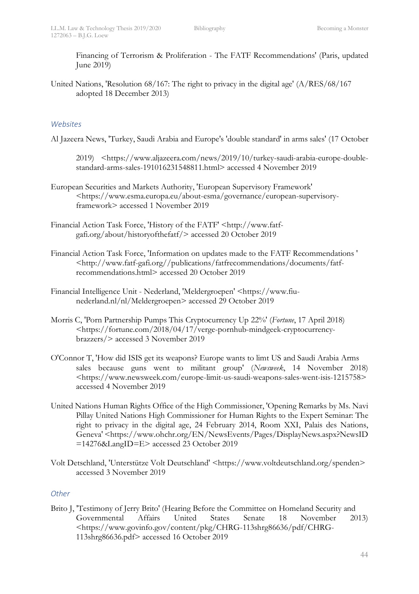Financing of Terrorism & Proliferation - The FATF Recommendations' (Paris, updated June 2019)

United Nations, 'Resolution 68/167: The right to privacy in the digital age' (A/RES/68/167 adopted 18 December 2013)

## *Websites*

Al Jazeera News, 'Turkey, Saudi Arabia and Europe's 'double standard' in arms sales' (17 October

2019) <https://www.aljazeera.com/news/2019/10/turkey-saudi-arabia-europe-doublestandard-arms-sales-191016231548811.html> accessed 4 November 2019

- European Securities and Markets Authority, 'European Supervisory Framework' <https://www.esma.europa.eu/about-esma/governance/european-supervisoryframework> accessed 1 November 2019
- Financial Action Task Force, 'History of the FATF' <http://www.fatfgafi.org/about/historyofthefatf/> accessed 20 October 2019
- Financial Action Task Force, 'Information on updates made to the FATF Recommendations ' <http://www.fatf-gafi.org//publications/fatfrecommendations/documents/fatfrecommendations.html> accessed 20 October 2019
- Financial Intelligence Unit Nederland, 'Meldergroepen' <https://www.fiunederland.nl/nl/Meldergroepen> accessed 29 October 2019
- Morris C, 'Porn Partnership Pumps This Cryptocurrency Up 22%' (*Fortune*, 17 April 2018) <https://fortune.com/2018/04/17/verge-pornhub-mindgeek-cryptocurrencybrazzers/> accessed 3 November 2019
- O'Connor T, 'How did ISIS get its weapons? Europe wants to limt US and Saudi Arabia Arms sales because guns went to militant group' (*Newsweek*, 14 November 2018) <https://www.newsweek.com/europe-limit-us-saudi-weapons-sales-went-isis-1215758> accessed 4 November 2019
- United Nations Human Rights Office of the High Commissioner, 'Opening Remarks by Ms. Navi Pillay United Nations High Commissioner for Human Rights to the Expert Seminar: The right to privacy in the digital age, 24 February 2014, Room XXI, Palais des Nations, Geneva' <https://www.ohchr.org/EN/NewsEvents/Pages/DisplayNews.aspx?NewsID =14276&LangID=E> accessed 23 October 2019
- Volt Detschland, 'Unterstütze Volt Deutschland' <https://www.voltdeutschland.org/spenden> accessed 3 November 2019

## *Other*

Brito J, 'Testimony of Jerry Brito' (Hearing Before the Committee on Homeland Security and Governmental Affairs United States Senate 18 November 2013) <https://www.govinfo.gov/content/pkg/CHRG-113shrg86636/pdf/CHRG-113shrg86636.pdf> accessed 16 October 2019